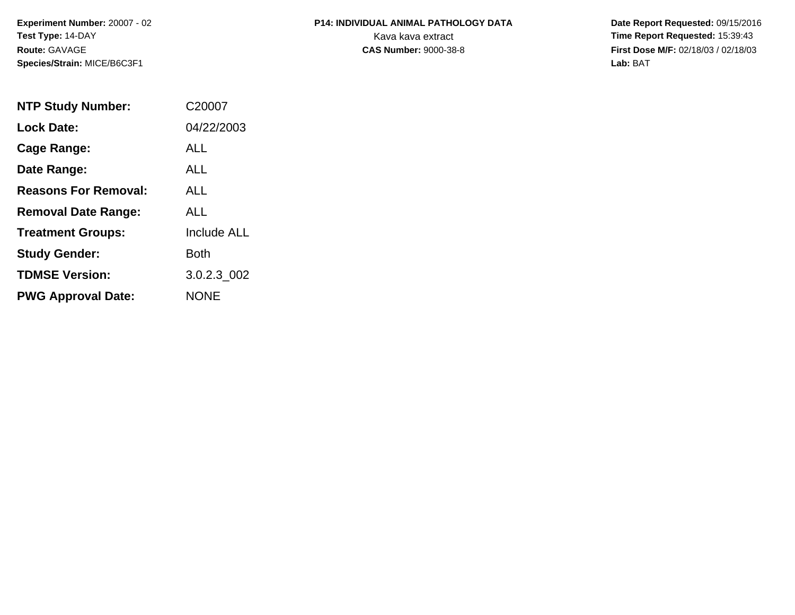**Experiment Number:** 20007 - 02**Test Type:** 14-DAY**Route:** GAVAGE**Species/Strain:** MICE/B6C3F1

## **P14: INDIVIDUAL ANIMAL PATHOLOGY DATA**Kava kava extract **Time Report Requested:** 15:39:43<br>**CAS Number:** 9000-38-8 **Time Report Requested:** 15:39:43

 **Date Report Requested:** 09/15/2016 **First Dose M/F:** 02/18/03 / 02/18/03<br>Lab: BAT **Lab:** BAT

| <b>NTP Study Number:</b>    | C20007             |
|-----------------------------|--------------------|
| <b>Lock Date:</b>           | 04/22/2003         |
| Cage Range:                 | ALL                |
| Date Range:                 | ALL                |
| <b>Reasons For Removal:</b> | ALL                |
| <b>Removal Date Range:</b>  | ALL                |
| <b>Treatment Groups:</b>    | <b>Include ALL</b> |
| <b>Study Gender:</b>        | Both               |
| <b>TDMSE Version:</b>       | 3.0.2.3 002        |
| <b>PWG Approval Date:</b>   | <b>NONE</b>        |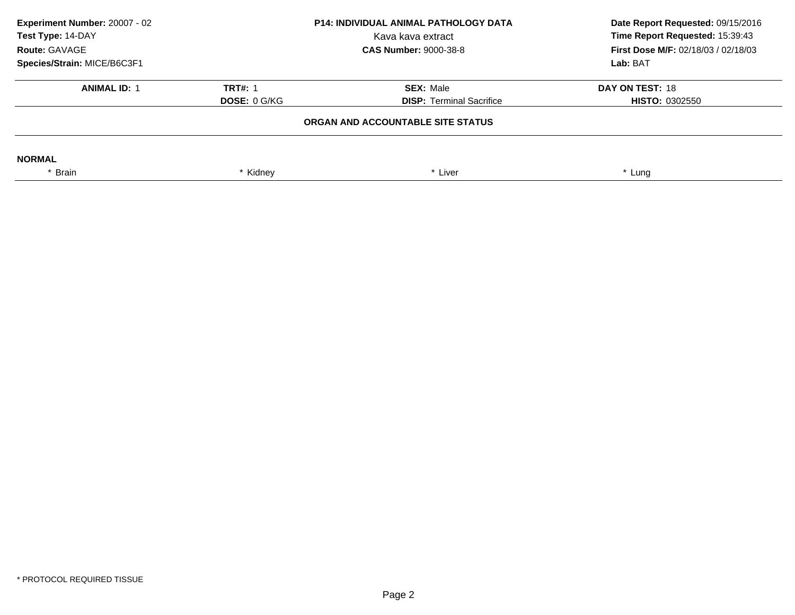| Experiment Number: 20007 - 02<br><b>P14: INDIVIDUAL ANIMAL PATHOLOGY DATA</b><br>Test Type: 14-DAY<br>Kava kava extract<br>Route: GAVAGE<br><b>CAS Number: 9000-38-8</b> |                     | Date Report Requested: 09/15/2016<br>Time Report Requested: 15:39:43<br><b>First Dose M/F: 02/18/03 / 02/18/03</b> |                       |
|--------------------------------------------------------------------------------------------------------------------------------------------------------------------------|---------------------|--------------------------------------------------------------------------------------------------------------------|-----------------------|
| Species/Strain: MICE/B6C3F1                                                                                                                                              |                     |                                                                                                                    | Lab: BAT              |
| <b>ANIMAL ID: 1</b>                                                                                                                                                      | <b>TRT#: 1</b>      | <b>SEX: Male</b>                                                                                                   | DAY ON TEST: 18       |
|                                                                                                                                                                          | <b>DOSE: 0 G/KG</b> | <b>DISP: Terminal Sacrifice</b>                                                                                    | <b>HISTO: 0302550</b> |
|                                                                                                                                                                          |                     | ORGAN AND ACCOUNTABLE SITE STATUS                                                                                  |                       |
| <b>NORMAL</b>                                                                                                                                                            |                     |                                                                                                                    |                       |
| Brain                                                                                                                                                                    | Kidney              | * Liver                                                                                                            | * Lung                |
|                                                                                                                                                                          |                     |                                                                                                                    |                       |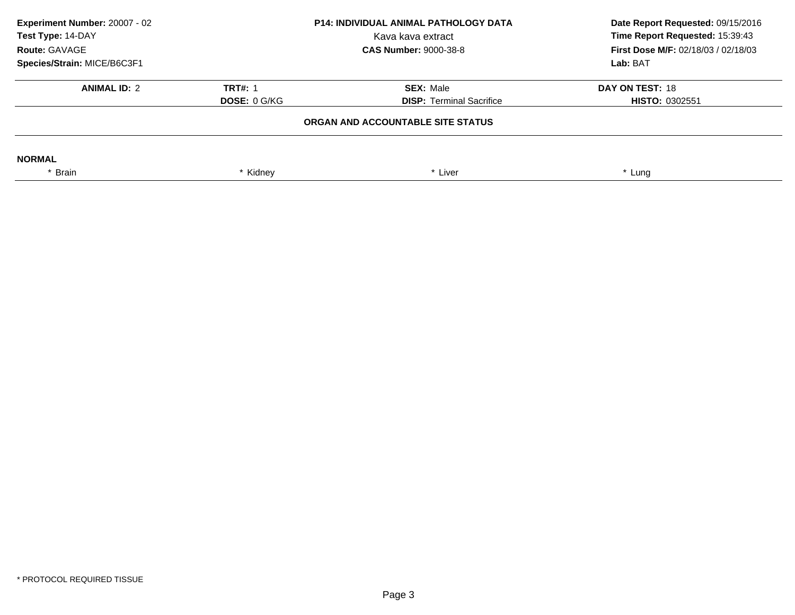| Experiment Number: 20007 - 02<br>Test Type: 14-DAY<br>Route: GAVAGE<br>Species/Strain: MICE/B6C3F1 | <b>P14: INDIVIDUAL ANIMAL PATHOLOGY DATA</b><br>Kava kava extract<br><b>CAS Number: 9000-38-8</b> |                                                     | Lab: BAT                                 |  | Date Report Requested: 09/15/2016<br>Time Report Requested: 15:39:43<br>First Dose M/F: 02/18/03 / 02/18/03 |
|----------------------------------------------------------------------------------------------------|---------------------------------------------------------------------------------------------------|-----------------------------------------------------|------------------------------------------|--|-------------------------------------------------------------------------------------------------------------|
| <b>ANIMAL ID: 2</b>                                                                                | <b>TRT#: 1</b><br><b>DOSE: 0 G/KG</b>                                                             | <b>SEX: Male</b><br><b>DISP: Terminal Sacrifice</b> | DAY ON TEST: 18<br><b>HISTO: 0302551</b> |  |                                                                                                             |
|                                                                                                    |                                                                                                   | ORGAN AND ACCOUNTABLE SITE STATUS                   |                                          |  |                                                                                                             |
| <b>NORMAL</b>                                                                                      |                                                                                                   |                                                     |                                          |  |                                                                                                             |
| * Brain                                                                                            | * Kidney                                                                                          | * Liver                                             | * Lung                                   |  |                                                                                                             |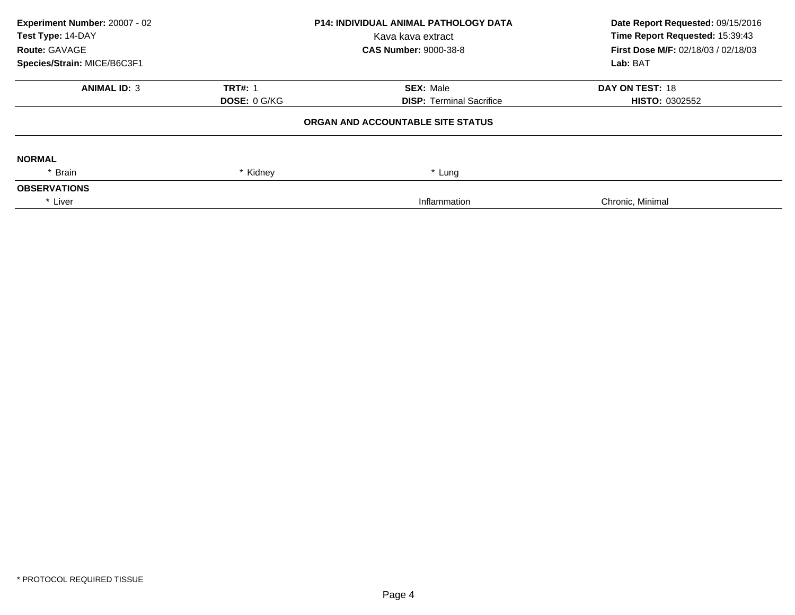| Experiment Number: 20007 - 02 |                              | <b>P14: INDIVIDUAL ANIMAL PATHOLOGY DATA</b> | Date Report Requested: 09/15/2016<br>Time Report Requested: 15:39:43 |
|-------------------------------|------------------------------|----------------------------------------------|----------------------------------------------------------------------|
| Test Type: 14-DAY             |                              | Kava kava extract                            |                                                                      |
| Route: GAVAGE                 | <b>CAS Number: 9000-38-8</b> |                                              | <b>First Dose M/F: 02/18/03 / 02/18/03</b>                           |
| Species/Strain: MICE/B6C3F1   |                              |                                              | Lab: BAT                                                             |
| <b>ANIMAL ID: 3</b>           | <b>TRT#: 1</b>               | <b>SEX: Male</b>                             | DAY ON TEST: 18                                                      |
|                               | <b>DOSE: 0 G/KG</b>          | <b>DISP:</b> Terminal Sacrifice              | <b>HISTO: 0302552</b>                                                |
|                               |                              | ORGAN AND ACCOUNTABLE SITE STATUS            |                                                                      |
| <b>NORMAL</b>                 |                              |                                              |                                                                      |
| * Brain                       | * Kidney                     | * Lung                                       |                                                                      |
| <b>OBSERVATIONS</b>           |                              |                                              |                                                                      |
| * Liver                       |                              | Inflammation                                 | Chronic, Minimal                                                     |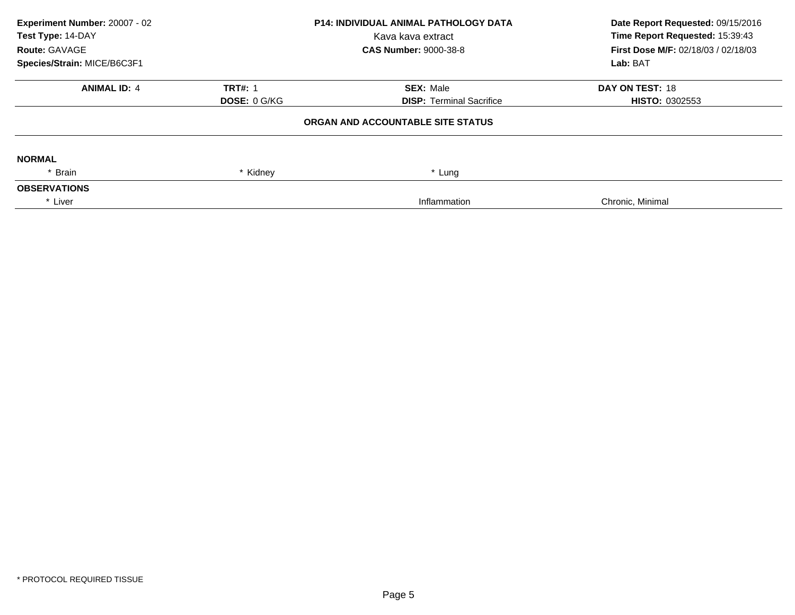| Experiment Number: 20007 - 02 |                              | <b>P14: INDIVIDUAL ANIMAL PATHOLOGY DATA</b> | Date Report Requested: 09/15/2016<br>Time Report Requested: 15:39:43 |
|-------------------------------|------------------------------|----------------------------------------------|----------------------------------------------------------------------|
| Test Type: 14-DAY             |                              | Kava kava extract                            |                                                                      |
| Route: GAVAGE                 | <b>CAS Number: 9000-38-8</b> |                                              | <b>First Dose M/F: 02/18/03 / 02/18/03</b>                           |
| Species/Strain: MICE/B6C3F1   |                              |                                              | Lab: BAT                                                             |
| <b>ANIMAL ID: 4</b>           | <b>TRT#: 1</b>               | <b>SEX: Male</b>                             | DAY ON TEST: 18                                                      |
|                               | <b>DOSE: 0 G/KG</b>          | <b>DISP:</b> Terminal Sacrifice              | <b>HISTO: 0302553</b>                                                |
|                               |                              | ORGAN AND ACCOUNTABLE SITE STATUS            |                                                                      |
| <b>NORMAL</b>                 |                              |                                              |                                                                      |
| * Brain                       | * Kidney                     | * Lung                                       |                                                                      |
| <b>OBSERVATIONS</b>           |                              |                                              |                                                                      |
| * Liver                       |                              | Inflammation                                 | Chronic, Minimal                                                     |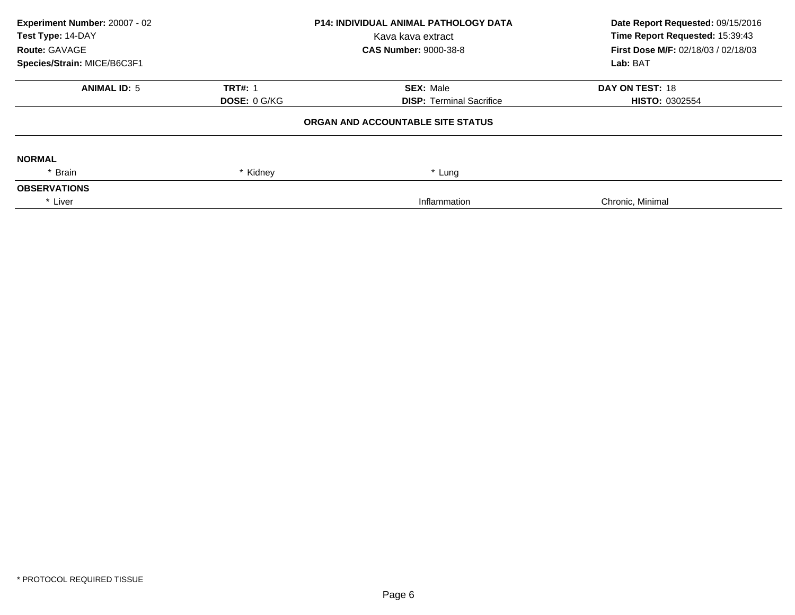| Experiment Number: 20007 - 02 |                     | P14: INDIVIDUAL ANIMAL PATHOLOGY DATA | Date Report Requested: 09/15/2016          |
|-------------------------------|---------------------|---------------------------------------|--------------------------------------------|
| Test Type: 14-DAY             |                     | Kava kava extract                     | Time Report Requested: 15:39:43            |
| Route: GAVAGE                 |                     | <b>CAS Number: 9000-38-8</b>          | <b>First Dose M/F: 02/18/03 / 02/18/03</b> |
| Species/Strain: MICE/B6C3F1   |                     |                                       | Lab: BAT                                   |
| <b>ANIMAL ID: 5</b>           | <b>TRT#: 1</b>      | <b>SEX: Male</b>                      | DAY ON TEST: 18                            |
|                               | DOSE: 0 G/KG        | <b>DISP: Terminal Sacrifice</b>       | <b>HISTO: 0302554</b>                      |
|                               |                     | ORGAN AND ACCOUNTABLE SITE STATUS     |                                            |
| <b>NORMAL</b>                 |                     |                                       |                                            |
| * Brain                       | Kidney <sup>*</sup> | Lung                                  |                                            |
| <b>OBSERVATIONS</b>           |                     |                                       |                                            |
| * Liver                       |                     | Inflammation                          | Chronic, Minimal                           |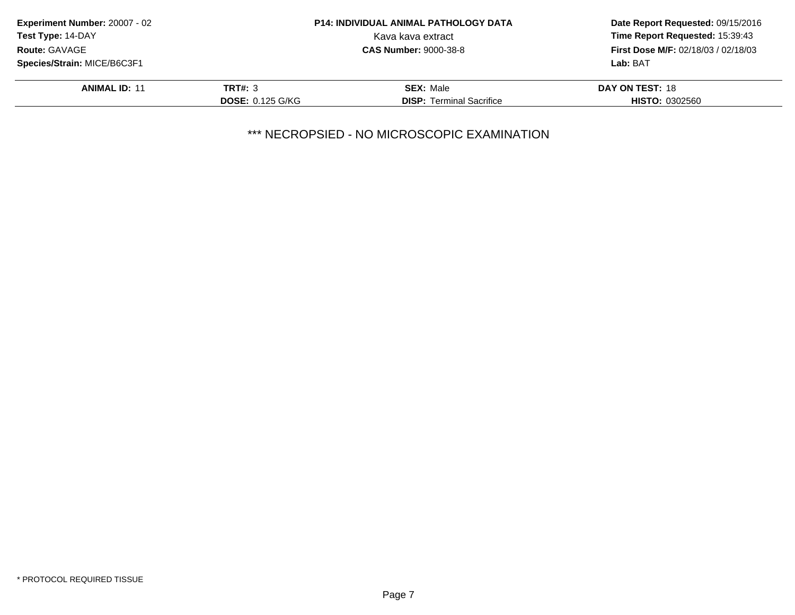| Experiment Number: 20007 - 02 |                         | <b>P14: INDIVIDUAL ANIMAL PATHOLOGY DATA</b> | Date Report Requested: 09/15/2016<br>Time Report Requested: 15:39:43 |
|-------------------------------|-------------------------|----------------------------------------------|----------------------------------------------------------------------|
| <b>Test Type: 14-DAY</b>      |                         | Kava kava extract                            |                                                                      |
| Route: GAVAGE                 |                         | <b>CAS Number: 9000-38-8</b>                 | <b>First Dose M/F: 02/18/03 / 02/18/03</b>                           |
| Species/Strain: MICE/B6C3F1   |                         |                                              | Lab: BAT                                                             |
| <b>ANIMAL ID: 11</b>          | <b>TRT#: 3</b>          | <b>SEX: Male</b>                             | DAY ON TEST: 18                                                      |
|                               | <b>DOSE: 0.125 G/KG</b> | <b>DISP:</b> Terminal Sacrifice              | <b>HISTO: 0302560</b>                                                |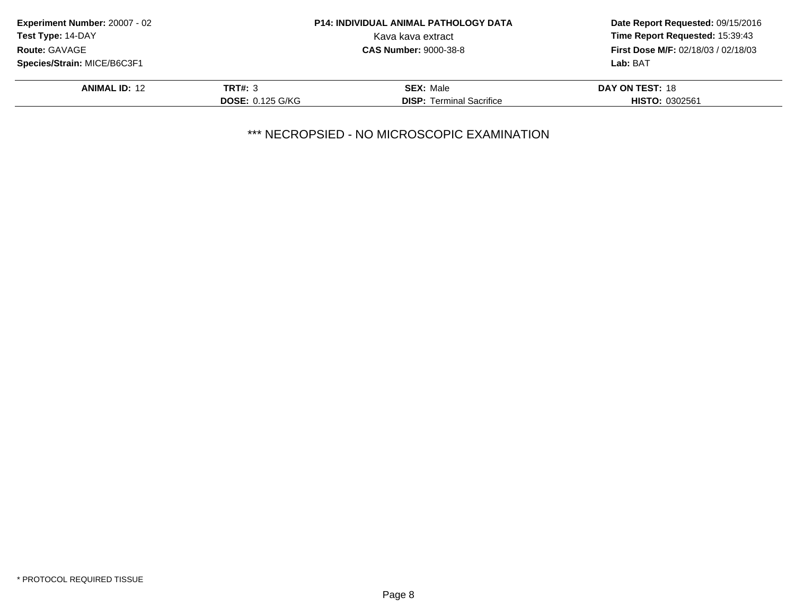| <b>Experiment Number: 20007 - 02</b> |                         | <b>P14: INDIVIDUAL ANIMAL PATHOLOGY DATA</b> | Date Report Requested: 09/15/2016<br>Time Report Requested: 15:39:43 |
|--------------------------------------|-------------------------|----------------------------------------------|----------------------------------------------------------------------|
| Test Type: 14-DAY                    |                         | Kava kava extract                            |                                                                      |
| <b>Route: GAVAGE</b>                 |                         | <b>CAS Number: 9000-38-8</b>                 | <b>First Dose M/F: 02/18/03 / 02/18/03</b>                           |
| Species/Strain: MICE/B6C3F1          |                         |                                              | Lab: BAT                                                             |
| <b>ANIMAL ID: 12</b>                 | <b>TRT#: 3</b>          | <b>SEX: Male</b>                             | DAY ON TEST: 18                                                      |
|                                      | <b>DOSE: 0.125 G/KG</b> | <b>DISP:</b> Terminal Sacrifice              | <b>HISTO: 0302561</b>                                                |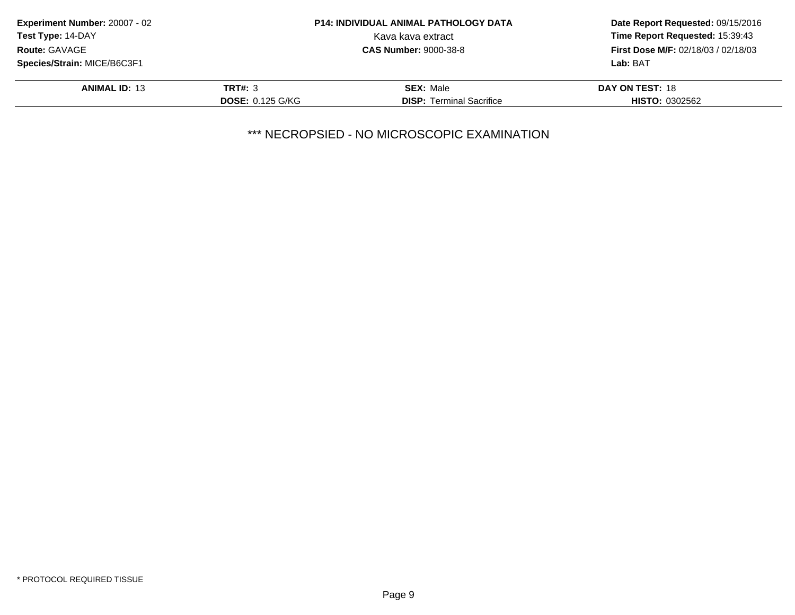| <b>Experiment Number: 20007 - 02</b> |                         | <b>P14: INDIVIDUAL ANIMAL PATHOLOGY DATA</b> | Date Report Requested: 09/15/2016<br>Time Report Requested: 15:39:43 |
|--------------------------------------|-------------------------|----------------------------------------------|----------------------------------------------------------------------|
| Test Type: 14-DAY                    |                         | Kava kava extract                            |                                                                      |
| Route: GAVAGE                        |                         | <b>CAS Number: 9000-38-8</b>                 | <b>First Dose M/F: 02/18/03 / 02/18/03</b>                           |
| Species/Strain: MICE/B6C3F1          |                         |                                              | Lab: BAT                                                             |
| <b>ANIMAL ID: 13</b>                 | <b>TRT#: 3</b>          | <b>SEX: Male</b>                             | DAY ON TEST: 18                                                      |
|                                      | <b>DOSE: 0.125 G/KG</b> | <b>DISP:</b> Terminal Sacrifice              | <b>HISTO: 0302562</b>                                                |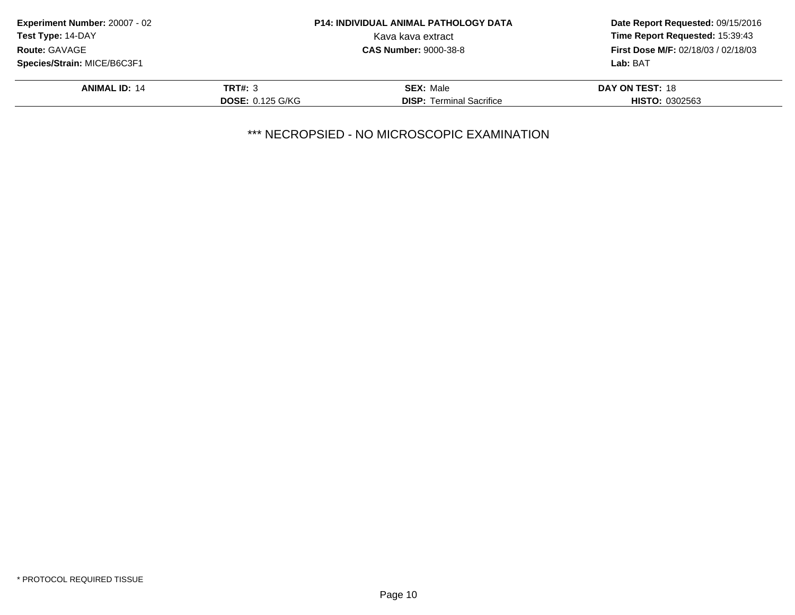| <b>Experiment Number: 20007 - 02</b> |                         | <b>P14: INDIVIDUAL ANIMAL PATHOLOGY DATA</b> | Date Report Requested: 09/15/2016<br>Time Report Requested: 15:39:43 |
|--------------------------------------|-------------------------|----------------------------------------------|----------------------------------------------------------------------|
| Test Type: 14-DAY                    |                         | Kava kava extract                            |                                                                      |
| <b>Route: GAVAGE</b>                 |                         | <b>CAS Number: 9000-38-8</b>                 | <b>First Dose M/F: 02/18/03 / 02/18/03</b>                           |
| Species/Strain: MICE/B6C3F1          |                         |                                              | Lab: BAT                                                             |
| <b>ANIMAL ID: 14</b>                 | <b>TRT#: 3</b>          | <b>SEX: Male</b>                             | DAY ON TEST: 18                                                      |
|                                      | <b>DOSE: 0.125 G/KG</b> | <b>DISP:</b> Terminal Sacrifice              | <b>HISTO: 0302563</b>                                                |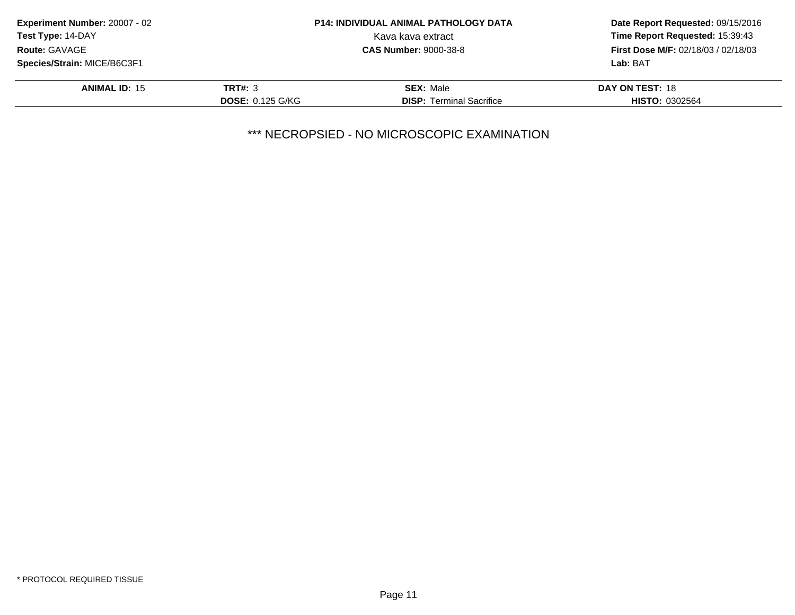| Experiment Number: 20007 - 02 |                         | <b>P14: INDIVIDUAL ANIMAL PATHOLOGY DATA</b> | Date Report Requested: 09/15/2016<br>Time Report Requested: 15:39:43 |
|-------------------------------|-------------------------|----------------------------------------------|----------------------------------------------------------------------|
| Test Type: 14-DAY             |                         | Kava kava extract                            |                                                                      |
| Route: GAVAGE                 |                         | <b>CAS Number: 9000-38-8</b>                 | <b>First Dose M/F: 02/18/03 / 02/18/03</b>                           |
| Species/Strain: MICE/B6C3F1   |                         |                                              | Lab: BAT                                                             |
| <b>ANIMAL ID: 15</b>          | <b>TRT#: 3</b>          | <b>SEX: Male</b>                             | DAY ON TEST: 18                                                      |
|                               | <b>DOSE: 0.125 G/KG</b> | <b>DISP:</b> Terminal Sacrifice              | <b>HISTO: 0302564</b>                                                |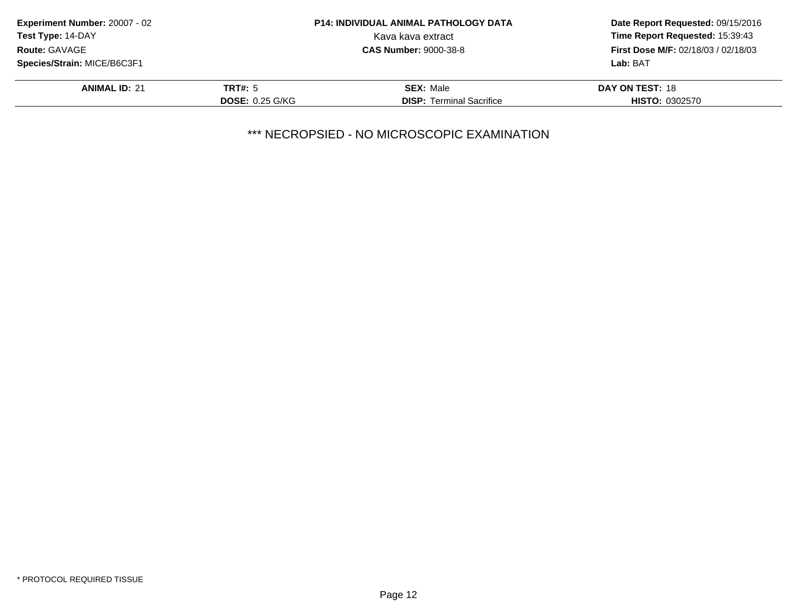| <b>Experiment Number: 20007 - 02</b> |                        | <b>P14: INDIVIDUAL ANIMAL PATHOLOGY DATA</b> | Date Report Requested: 09/15/2016<br>Time Report Requested: 15:39:43 |
|--------------------------------------|------------------------|----------------------------------------------|----------------------------------------------------------------------|
| <b>Test Type: 14-DAY</b>             |                        | Kava kava extract                            |                                                                      |
| <b>Route: GAVAGE</b>                 |                        | <b>CAS Number: 9000-38-8</b>                 | <b>First Dose M/F: 02/18/03 / 02/18/03</b>                           |
| Species/Strain: MICE/B6C3F1          |                        |                                              | Lab: BAT                                                             |
| <b>ANIMAL ID: 21</b>                 | <b>TRT#: 5</b>         | <b>SEX: Male</b>                             | DAY ON TEST: 18                                                      |
|                                      | <b>DOSE: 0.25 G/KG</b> | <b>DISP:</b> Terminal Sacrifice              | <b>HISTO: 0302570</b>                                                |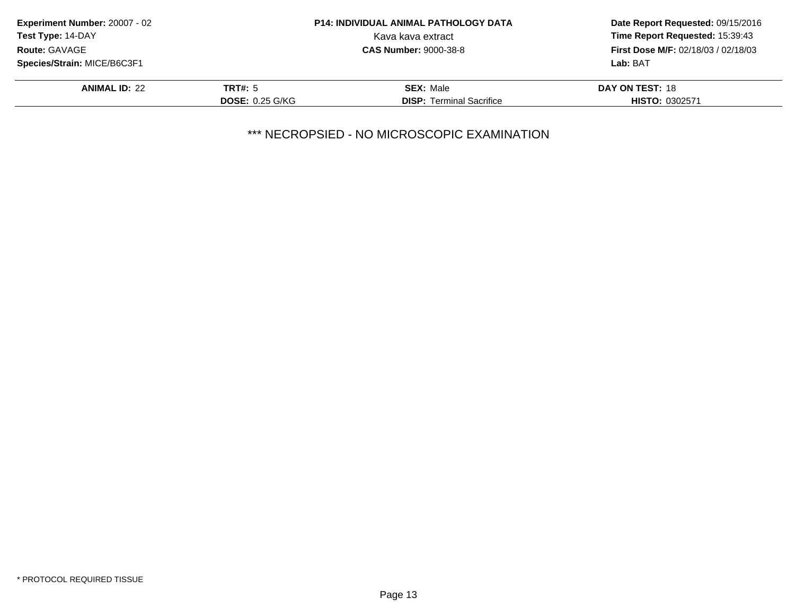| Experiment Number: 20007 - 02<br><b>P14: INDIVIDUAL ANIMAL PATHOLOGY DATA</b> |                        | Date Report Requested: 09/15/2016 |                                            |
|-------------------------------------------------------------------------------|------------------------|-----------------------------------|--------------------------------------------|
| Test Type: 14-DAY                                                             |                        | Kava kava extract                 | Time Report Requested: 15:39:43            |
| Route: GAVAGE                                                                 |                        | <b>CAS Number: 9000-38-8</b>      | <b>First Dose M/F: 02/18/03 / 02/18/03</b> |
| Species/Strain: MICE/B6C3F1                                                   |                        |                                   | Lab: BAT                                   |
| <b>ANIMAL ID: 22</b>                                                          | <b>TRT#: 5</b>         | <b>SEX: Male</b>                  | DAY ON TEST: 18                            |
|                                                                               | <b>DOSE: 0.25 G/KG</b> | <b>DISP:</b> Terminal Sacrifice   | <b>HISTO: 0302571</b>                      |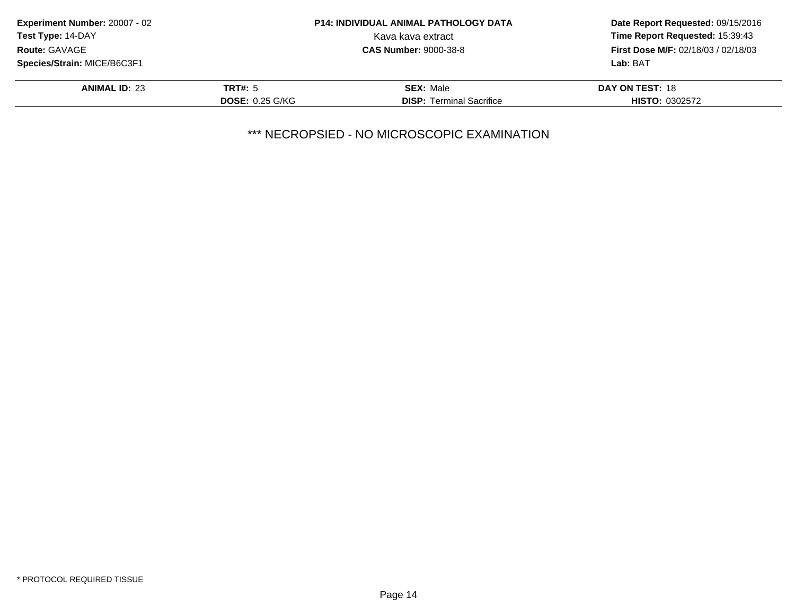| Experiment Number: 20007 - 02 |                              | <b>P14: INDIVIDUAL ANIMAL PATHOLOGY DATA</b> | Date Report Requested: 09/15/2016<br>Time Report Requested: 15:39:43 |
|-------------------------------|------------------------------|----------------------------------------------|----------------------------------------------------------------------|
| Test Type: 14-DAY             |                              | Kava kava extract                            |                                                                      |
| <b>Route: GAVAGE</b>          | <b>CAS Number: 9000-38-8</b> |                                              | <b>First Dose M/F: 02/18/03 / 02/18/03</b>                           |
| Species/Strain: MICE/B6C3F1   |                              |                                              | Lab: BAT                                                             |
| <b>ANIMAL ID: 23</b>          | <b>TRT#: 5</b>               | <b>SEX: Male</b>                             | DAY ON TEST: 18                                                      |
|                               | <b>DOSE: 0.25 G/KG</b>       | <b>DISP:</b> Terminal Sacrifice              | <b>HISTO: 0302572</b>                                                |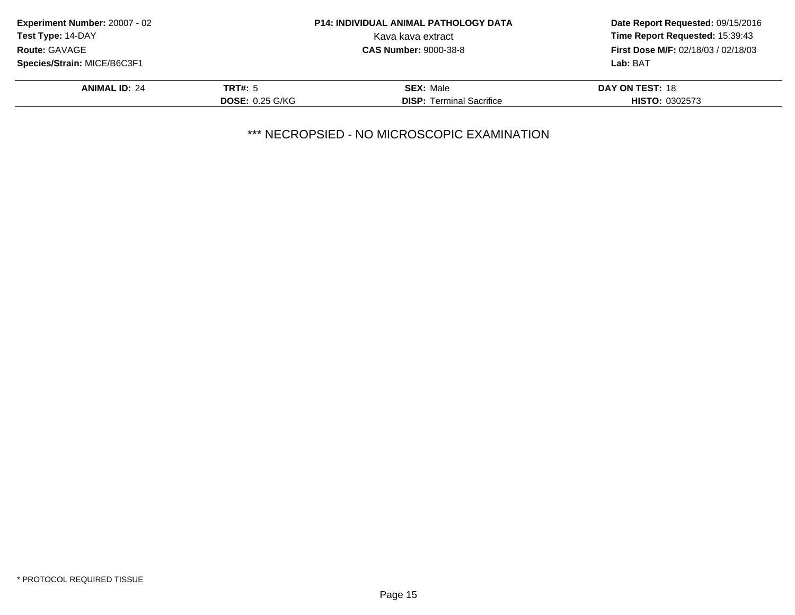| Experiment Number: 20007 - 02 |                              | <b>P14: INDIVIDUAL ANIMAL PATHOLOGY DATA</b> | Date Report Requested: 09/15/2016<br>Time Report Requested: 15:39:43 |
|-------------------------------|------------------------------|----------------------------------------------|----------------------------------------------------------------------|
| <b>Test Type: 14-DAY</b>      |                              | Kava kava extract                            |                                                                      |
| <b>Route: GAVAGE</b>          | <b>CAS Number: 9000-38-8</b> |                                              | <b>First Dose M/F: 02/18/03 / 02/18/03</b>                           |
| Species/Strain: MICE/B6C3F1   |                              |                                              | Lab: BAT                                                             |
| <b>ANIMAL ID: 24</b>          | <b>TRT#: 5</b>               | <b>SEX: Male</b>                             | DAY ON TEST: 18                                                      |
|                               | <b>DOSE: 0.25 G/KG</b>       | <b>DISP:</b> Terminal Sacrifice              | <b>HISTO: 0302573</b>                                                |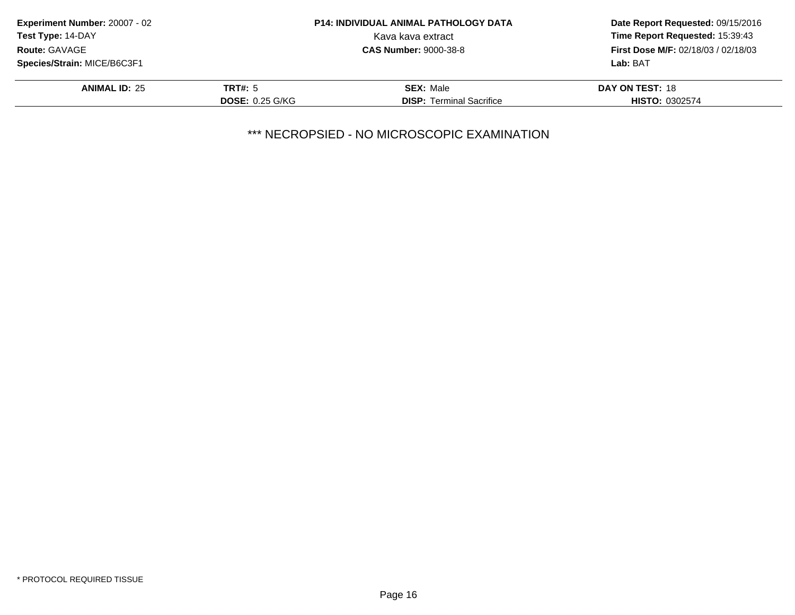| Experiment Number: 20007 - 02 |                              | <b>P14: INDIVIDUAL ANIMAL PATHOLOGY DATA</b> | Date Report Requested: 09/15/2016<br>Time Report Requested: 15:39:43 |
|-------------------------------|------------------------------|----------------------------------------------|----------------------------------------------------------------------|
| <b>Test Type: 14-DAY</b>      |                              | Kava kava extract                            |                                                                      |
| <b>Route: GAVAGE</b>          | <b>CAS Number: 9000-38-8</b> |                                              | <b>First Dose M/F: 02/18/03 / 02/18/03</b>                           |
| Species/Strain: MICE/B6C3F1   |                              |                                              | Lab: BAT                                                             |
| <b>ANIMAL ID: 25</b>          | <b>TRT#: 5</b>               | <b>SEX: Male</b>                             | DAY ON TEST: 18                                                      |
|                               | <b>DOSE: 0.25 G/KG</b>       | <b>DISP:</b> Terminal Sacrifice              | <b>HISTO: 0302574</b>                                                |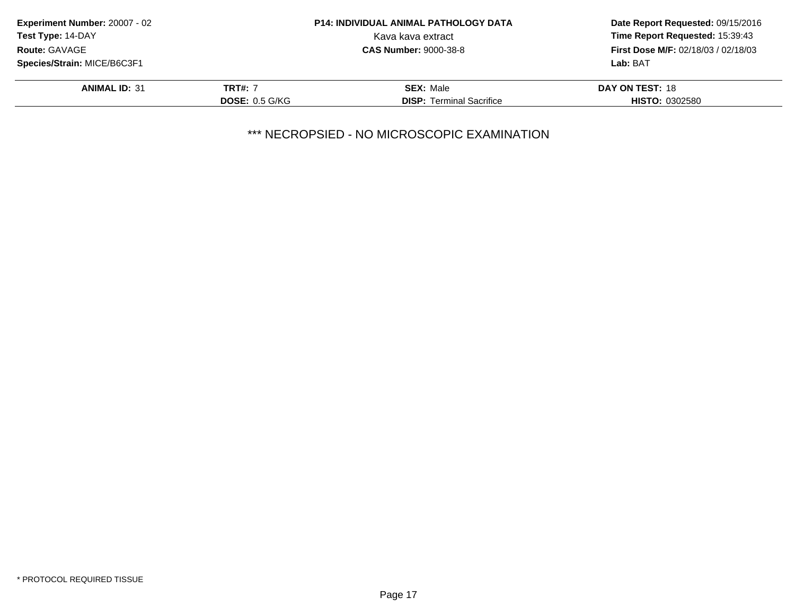| <b>P14: INDIVIDUAL ANIMAL PATHOLOGY DATA</b>                               | Date Report Requested: 09/15/2016 |  |
|----------------------------------------------------------------------------|-----------------------------------|--|
| Kava kava extract                                                          | Time Report Requested: 15:39:43   |  |
| <b>First Dose M/F: 02/18/03 / 02/18/03</b><br><b>CAS Number: 9000-38-8</b> |                                   |  |
|                                                                            | Lab: BAT                          |  |
| <b>SEX: Male</b>                                                           | DAY ON TEST: 18                   |  |
| <b>DISP:</b> Terminal Sacrifice                                            | <b>HISTO: 0302580</b>             |  |
|                                                                            | <b>DOSE: 0.5 G/KG</b>             |  |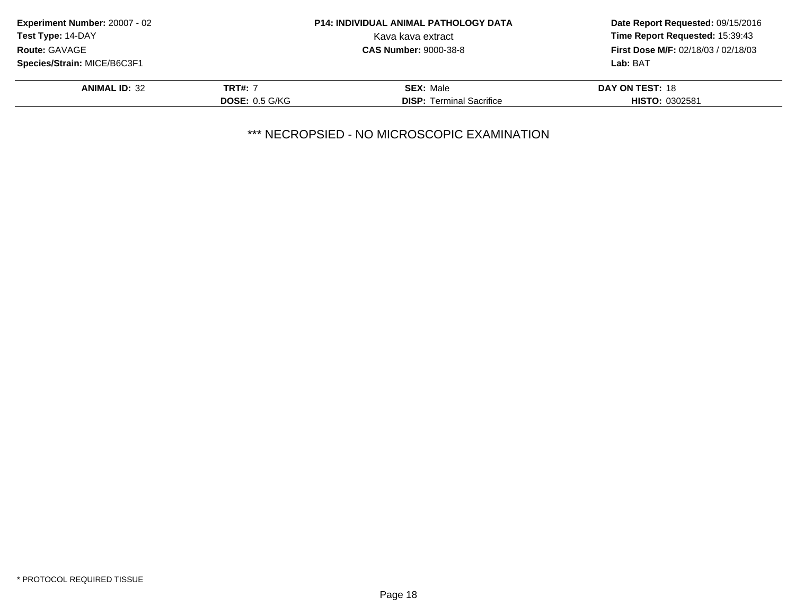| <b>Experiment Number: 20007 - 02</b> |                       | <b>P14: INDIVIDUAL ANIMAL PATHOLOGY DATA</b> | Date Report Requested: 09/15/2016<br>Time Report Requested: 15:39:43 |
|--------------------------------------|-----------------------|----------------------------------------------|----------------------------------------------------------------------|
| <b>Test Type: 14-DAY</b>             |                       | Kava kava extract                            |                                                                      |
| <b>Route: GAVAGE</b>                 |                       | <b>CAS Number: 9000-38-8</b>                 | <b>First Dose M/F: 02/18/03 / 02/18/03</b>                           |
| Species/Strain: MICE/B6C3F1          |                       |                                              | Lab: BAT                                                             |
| <b>ANIMAL ID: 32</b>                 | <b>TRT#: 7</b>        | <b>SEX: Male</b>                             | DAY ON TEST: 18                                                      |
|                                      | <b>DOSE: 0.5 G/KG</b> | <b>DISP:</b> Terminal Sacrifice              | <b>HISTO: 0302581</b>                                                |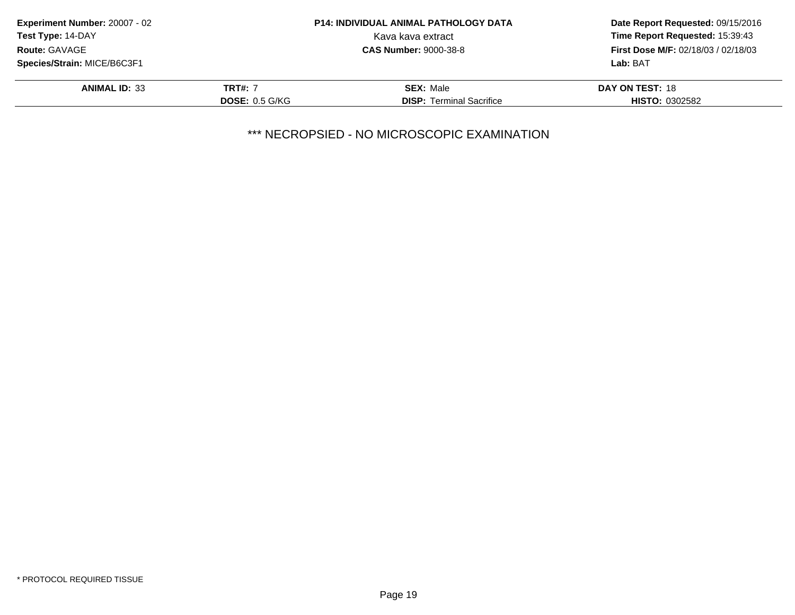| <b>Experiment Number: 20007 - 02</b> |                | <b>P14: INDIVIDUAL ANIMAL PATHOLOGY DATA</b>                               | Date Report Requested: 09/15/2016<br>Time Report Requested: 15:39:43 |
|--------------------------------------|----------------|----------------------------------------------------------------------------|----------------------------------------------------------------------|
| <b>Test Type: 14-DAY</b>             |                | Kava kava extract                                                          |                                                                      |
| <b>Route: GAVAGE</b>                 |                | <b>First Dose M/F: 02/18/03 / 02/18/03</b><br><b>CAS Number: 9000-38-8</b> |                                                                      |
| Species/Strain: MICE/B6C3F1          |                |                                                                            | Lab: BAT                                                             |
| <b>ANIMAL ID: 33</b>                 | <b>TRT#: 7</b> | <b>SEX: Male</b>                                                           | DAY ON TEST: 18                                                      |
|                                      | DOSE: 0.5 G/KG | <b>DISP:</b> Terminal Sacrifice                                            | <b>HISTO: 0302582</b>                                                |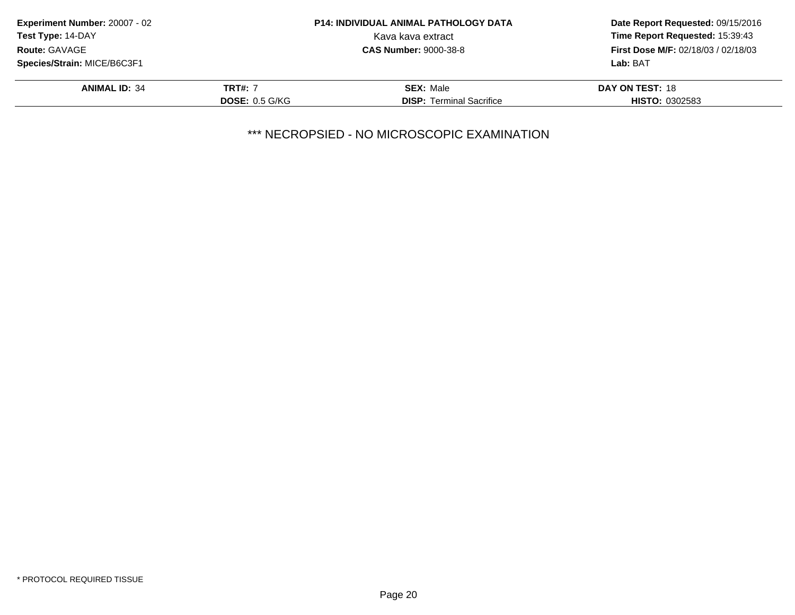| <b>Experiment Number: 20007 - 02</b>                 |                  | <b>P14: INDIVIDUAL ANIMAL PATHOLOGY DATA</b> | Date Report Requested: 09/15/2016<br>Time Report Requested: 15:39:43 |
|------------------------------------------------------|------------------|----------------------------------------------|----------------------------------------------------------------------|
| <b>Test Type: 14-DAY</b>                             |                  | Kava kava extract                            |                                                                      |
| <b>Route: GAVAGE</b><br><b>CAS Number: 9000-38-8</b> |                  |                                              | <b>First Dose M/F: 02/18/03 / 02/18/03</b>                           |
| Species/Strain: MICE/B6C3F1                          |                  |                                              | Lab: BAT                                                             |
| <b>ANIMAL ID: 34</b>                                 | <b>TRT#: 7</b>   | <b>SEX: Male</b>                             | DAY ON TEST: 18                                                      |
|                                                      | DOSE: $0.5$ G/KG | <b>DISP: Terminal Sacrifice</b>              | <b>HISTO: 0302583</b>                                                |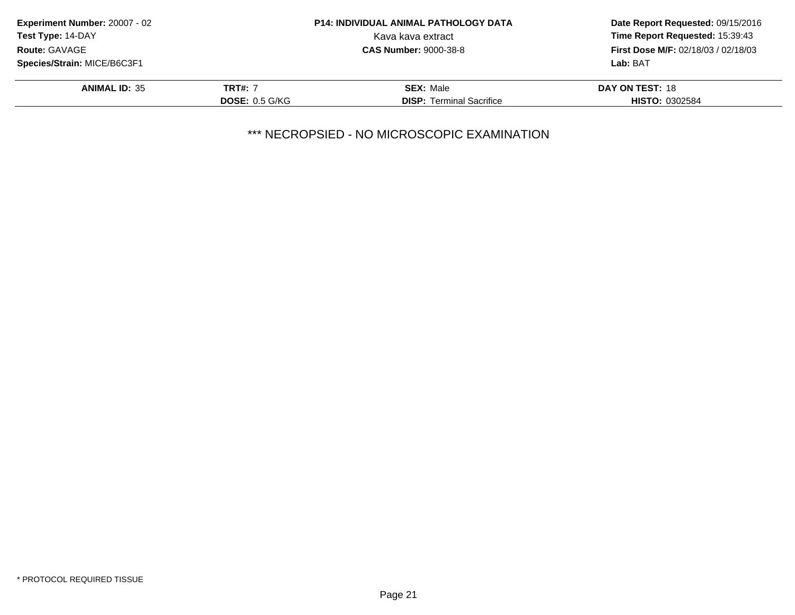| <b>Experiment Number: 20007 - 02</b> |                              | <b>P14: INDIVIDUAL ANIMAL PATHOLOGY DATA</b> | Date Report Requested: 09/15/2016<br>Time Report Requested: 15:39:43 |
|--------------------------------------|------------------------------|----------------------------------------------|----------------------------------------------------------------------|
| <b>Test Type: 14-DAY</b>             |                              | Kava kava extract                            |                                                                      |
| <b>Route: GAVAGE</b>                 | <b>CAS Number: 9000-38-8</b> |                                              | <b>First Dose M/F: 02/18/03 / 02/18/03</b>                           |
| Species/Strain: MICE/B6C3F1          |                              |                                              | Lab: BAT                                                             |
| <b>ANIMAL ID: 35</b>                 | <b>TRT#: 7</b>               | <b>SEX: Male</b>                             | DAY ON TEST: 18                                                      |
|                                      | DOSE: $0.5$ G/KG             | <b>DISP: Terminal Sacrifice</b>              | <b>HISTO: 0302584</b>                                                |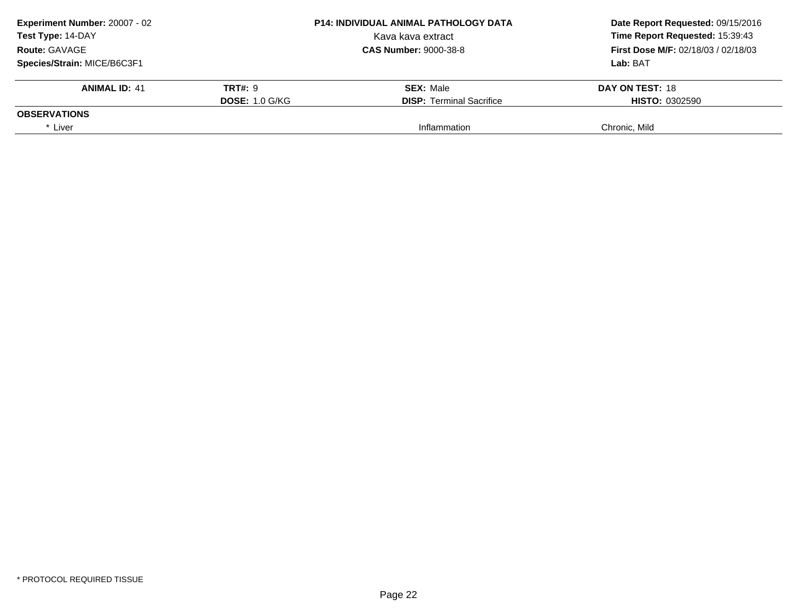| <b>P14: INDIVIDUAL ANIMAL PATHOLOGY DATA</b>         | Date Report Requested: 09/15/2016       |
|------------------------------------------------------|-----------------------------------------|
| Kava kava extract                                    | Time Report Requested: 15:39:43         |
| <b>Route: GAVAGE</b><br><b>CAS Number: 9000-38-8</b> |                                         |
|                                                      | Lab: BAT                                |
| <b>SEX: Male</b>                                     | DAY ON TEST: 18                         |
| <b>DISP:</b> Terminal Sacrifice                      | <b>HISTO: 0302590</b>                   |
|                                                      |                                         |
| Inflammation                                         | Chronic. Mild                           |
|                                                      | <b>TRT#: 9</b><br><b>DOSE: 1.0 G/KG</b> |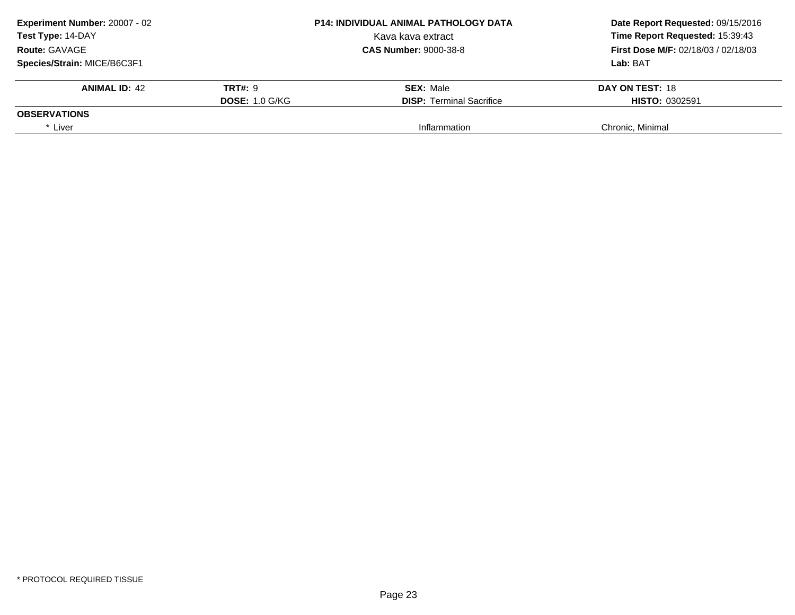| Experiment Number: 20007 - 02 |                       | <b>P14: INDIVIDUAL ANIMAL PATHOLOGY DATA</b><br>Date Report Requested: 09/15/2016 |                                            |
|-------------------------------|-----------------------|-----------------------------------------------------------------------------------|--------------------------------------------|
| Test Type: 14-DAY             |                       | Kava kava extract                                                                 | Time Report Requested: 15:39:43            |
| <b>Route: GAVAGE</b>          |                       | <b>CAS Number: 9000-38-8</b>                                                      | <b>First Dose M/F: 02/18/03 / 02/18/03</b> |
| Species/Strain: MICE/B6C3F1   |                       | Lab: BAT                                                                          |                                            |
| <b>ANIMAL ID: 42</b>          | <b>TRT#: 9</b>        | <b>SEX: Male</b>                                                                  | DAY ON TEST: 18                            |
|                               | <b>DOSE: 1.0 G/KG</b> | <b>DISP:</b> Terminal Sacrifice                                                   | <b>HISTO: 0302591</b>                      |
| <b>OBSERVATIONS</b>           |                       |                                                                                   |                                            |
| * Liver                       |                       | Inflammation                                                                      | Chronic, Minimal                           |
|                               |                       |                                                                                   |                                            |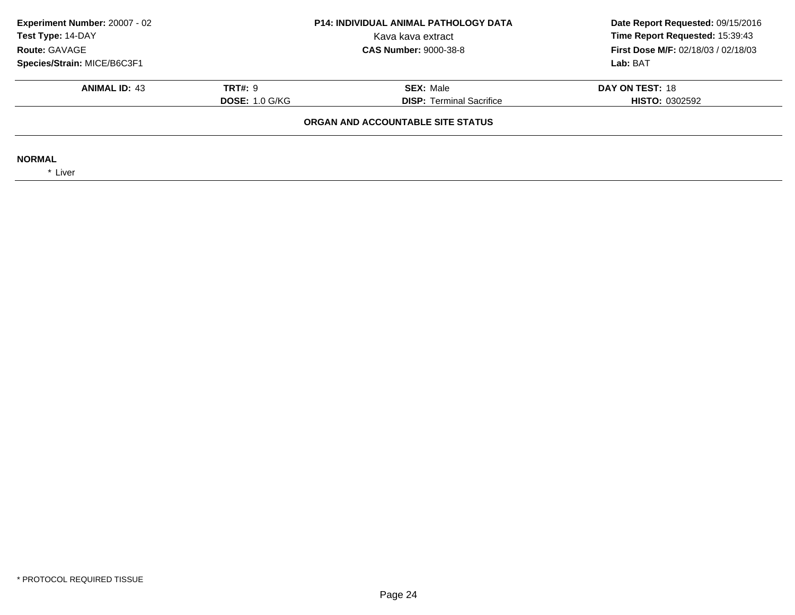| Experiment Number: 20007 - 02<br>Test Type: 14-DAY |                                                          | <b>P14: INDIVIDUAL ANIMAL PATHOLOGY DATA</b><br>Kava kava extract | Date Report Requested: 09/15/2016<br>Time Report Requested: 15:39:43 |
|----------------------------------------------------|----------------------------------------------------------|-------------------------------------------------------------------|----------------------------------------------------------------------|
| Route: GAVAGE                                      | <b>CAS Number: 9000-38-8</b>                             |                                                                   | <b>First Dose M/F: 02/18/03 / 02/18/03</b>                           |
| Species/Strain: MICE/B6C3F1                        |                                                          |                                                                   | Lab: BAT                                                             |
| <b>ANIMAL ID: 43</b>                               | <b>TRT#: 9</b>                                           | <b>SEX: Male</b>                                                  | DAY ON TEST: 18                                                      |
|                                                    | <b>DISP: Terminal Sacrifice</b><br><b>DOSE: 1.0 G/KG</b> |                                                                   | <b>HISTO: 0302592</b>                                                |
|                                                    |                                                          | ORGAN AND ACCOUNTABLE SITE STATUS                                 |                                                                      |
| <b>NORMAL</b><br>* Liver                           |                                                          |                                                                   |                                                                      |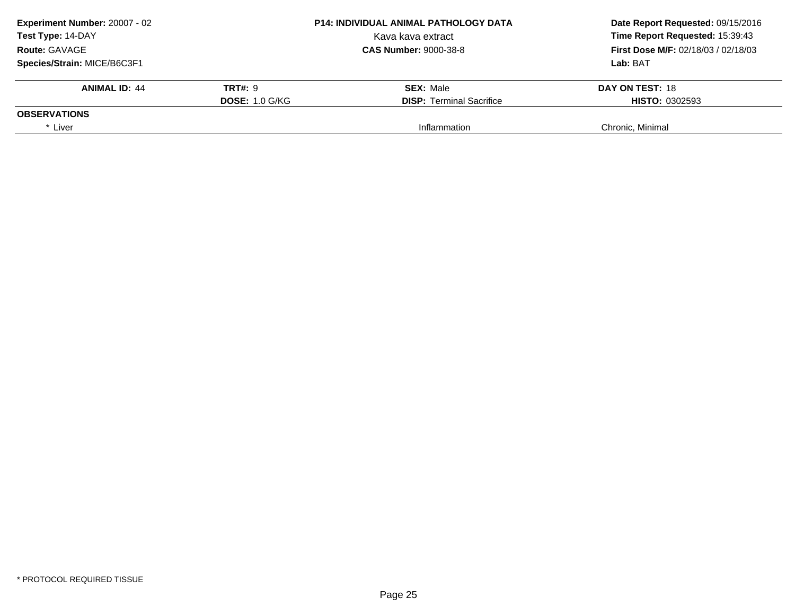| Experiment Number: 20007 - 02<br>Test Type: 14-DAY |                       | <b>P14: INDIVIDUAL ANIMAL PATHOLOGY DATA</b> | Date Report Requested: 09/15/2016<br>Time Report Requested: 15:39:43 |
|----------------------------------------------------|-----------------------|----------------------------------------------|----------------------------------------------------------------------|
|                                                    |                       | Kava kava extract                            |                                                                      |
| <b>Route: GAVAGE</b>                               |                       | <b>CAS Number: 9000-38-8</b>                 | <b>First Dose M/F: 02/18/03 / 02/18/03</b>                           |
| Species/Strain: MICE/B6C3F1                        |                       |                                              | Lab: BAT                                                             |
| <b>ANIMAL ID: 44</b>                               | <b>TRT#: 9</b>        | <b>SEX: Male</b>                             | DAY ON TEST: 18                                                      |
|                                                    | <b>DOSE: 1.0 G/KG</b> | <b>DISP:</b> Terminal Sacrifice              | <b>HISTO: 0302593</b>                                                |
| <b>OBSERVATIONS</b>                                |                       |                                              |                                                                      |
| * Liver                                            |                       | Inflammation                                 | Chronic, Minimal                                                     |
|                                                    |                       |                                              |                                                                      |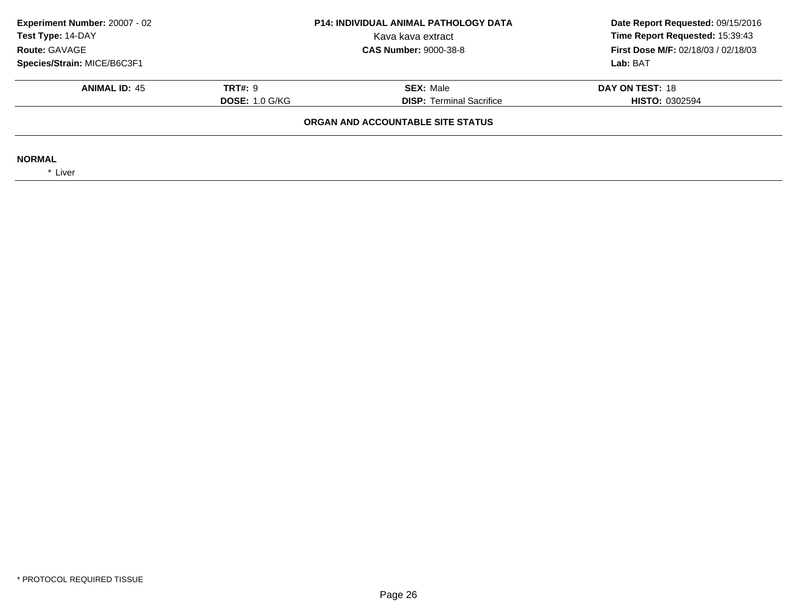| Experiment Number: 20007 - 02<br>Test Type: 14-DAY |                                   | <b>P14: INDIVIDUAL ANIMAL PATHOLOGY DATA</b><br>Kava kava extract | Date Report Requested: 09/15/2016<br>Time Report Requested: 15:39:43 |
|----------------------------------------------------|-----------------------------------|-------------------------------------------------------------------|----------------------------------------------------------------------|
| Route: GAVAGE                                      |                                   | <b>CAS Number: 9000-38-8</b>                                      | <b>First Dose M/F: 02/18/03 / 02/18/03</b>                           |
| Species/Strain: MICE/B6C3F1                        |                                   |                                                                   | Lab: BAT                                                             |
| <b>ANIMAL ID: 45</b>                               | <b>TRT#: 9</b>                    | <b>SEX: Male</b>                                                  | DAY ON TEST: 18                                                      |
|                                                    | <b>DOSE: 1.0 G/KG</b>             | <b>DISP: Terminal Sacrifice</b>                                   | <b>HISTO: 0302594</b>                                                |
|                                                    | ORGAN AND ACCOUNTABLE SITE STATUS |                                                                   |                                                                      |
| <b>NORMAL</b><br>* Liver                           |                                   |                                                                   |                                                                      |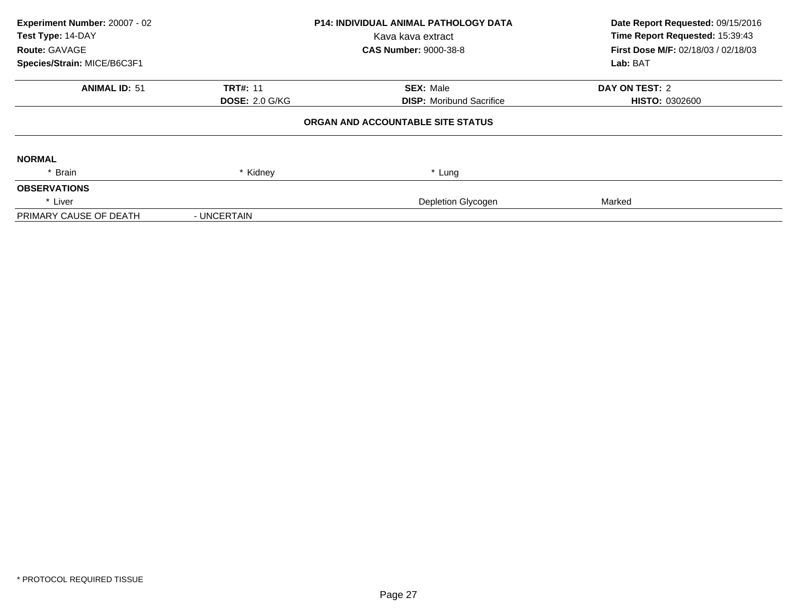| Experiment Number: 20007 - 02<br>Test Type: 14-DAY<br>Route: GAVAGE<br>Species/Strain: MICE/B6C3F1 |                       | <b>P14: INDIVIDUAL ANIMAL PATHOLOGY DATA</b><br>Kava kava extract<br><b>CAS Number: 9000-38-8</b> | Date Report Requested: 09/15/2016<br>Time Report Requested: 15:39:43<br>First Dose M/F: 02/18/03 / 02/18/03<br>Lab: BAT |
|----------------------------------------------------------------------------------------------------|-----------------------|---------------------------------------------------------------------------------------------------|-------------------------------------------------------------------------------------------------------------------------|
| <b>ANIMAL ID: 51</b>                                                                               | <b>TRT#: 11</b>       | <b>SEX: Male</b>                                                                                  | DAY ON TEST: 2                                                                                                          |
|                                                                                                    | <b>DOSE: 2.0 G/KG</b> | <b>DISP:</b> Moribund Sacrifice                                                                   | <b>HISTO: 0302600</b>                                                                                                   |
|                                                                                                    |                       | ORGAN AND ACCOUNTABLE SITE STATUS                                                                 |                                                                                                                         |
| <b>NORMAL</b>                                                                                      |                       |                                                                                                   |                                                                                                                         |
| * Brain                                                                                            | * Kidney              | * Lung                                                                                            |                                                                                                                         |
| <b>OBSERVATIONS</b>                                                                                |                       |                                                                                                   |                                                                                                                         |
| * Liver                                                                                            |                       | Depletion Glycogen                                                                                | Marked                                                                                                                  |
| PRIMARY CAUSE OF DEATH                                                                             | - UNCERTAIN           |                                                                                                   |                                                                                                                         |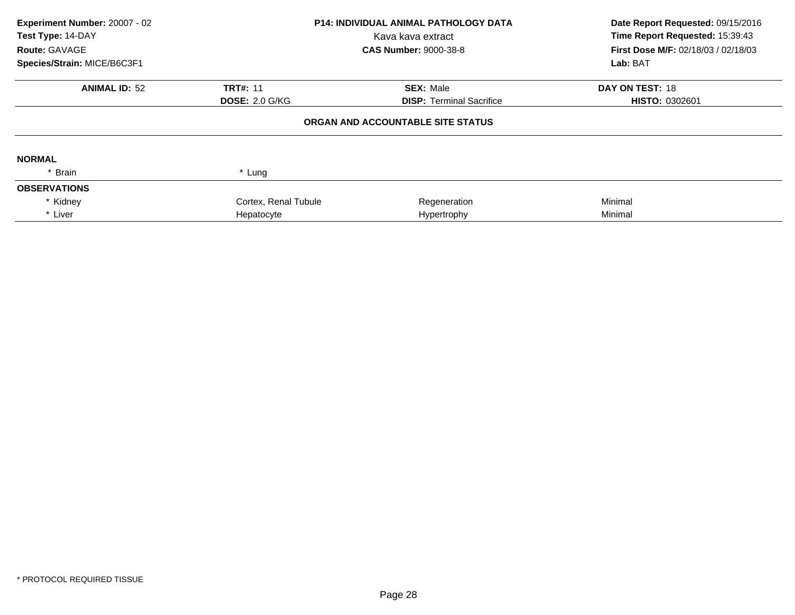| Experiment Number: 20007 - 02<br>Test Type: 14-DAY<br>Route: GAVAGE | P14: INDIVIDUAL ANIMAL PATHOLOGY DATA<br>Kava kava extract<br><b>CAS Number: 9000-38-8</b> |                                   | Date Report Requested: 09/15/2016<br>Time Report Requested: 15:39:43<br>First Dose M/F: 02/18/03 / 02/18/03 |  |
|---------------------------------------------------------------------|--------------------------------------------------------------------------------------------|-----------------------------------|-------------------------------------------------------------------------------------------------------------|--|
| Species/Strain: MICE/B6C3F1                                         |                                                                                            |                                   | Lab: BAT                                                                                                    |  |
| <b>ANIMAL ID: 52</b>                                                | <b>TRT#: 11</b>                                                                            | <b>SEX: Male</b>                  | DAY ON TEST: 18                                                                                             |  |
|                                                                     | <b>DOSE: 2.0 G/KG</b>                                                                      | <b>DISP:</b> Terminal Sacrifice   | <b>HISTO: 0302601</b>                                                                                       |  |
|                                                                     |                                                                                            | ORGAN AND ACCOUNTABLE SITE STATUS |                                                                                                             |  |
| <b>NORMAL</b>                                                       |                                                                                            |                                   |                                                                                                             |  |
| * Brain                                                             | * Lung                                                                                     |                                   |                                                                                                             |  |
| <b>OBSERVATIONS</b>                                                 |                                                                                            |                                   |                                                                                                             |  |
| * Kidney                                                            | Cortex, Renal Tubule                                                                       | Regeneration                      | Minimal                                                                                                     |  |
| * Liver                                                             | Hepatocyte                                                                                 | Hypertrophy                       | Minimal                                                                                                     |  |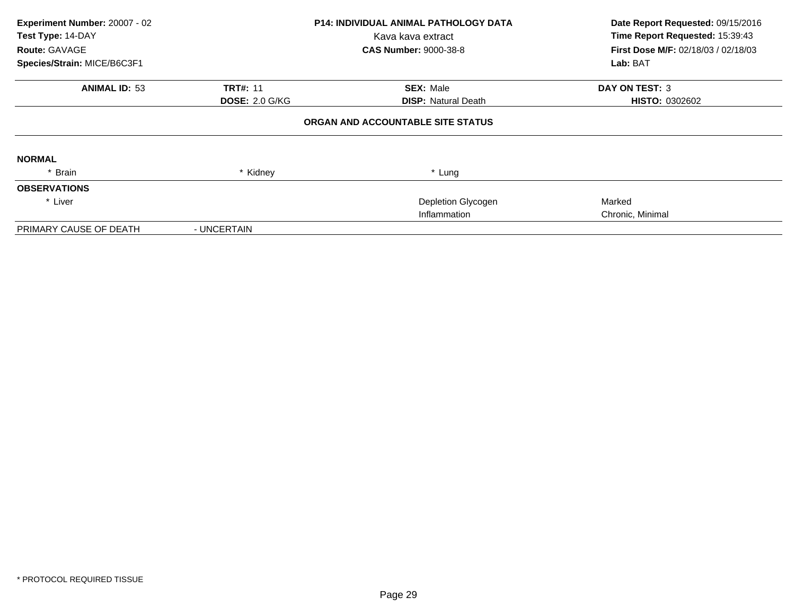| Experiment Number: 20007 - 02<br>Test Type: 14-DAY<br>Route: GAVAGE<br>Species/Strain: MICE/B6C3F1 |                                          | <b>P14: INDIVIDUAL ANIMAL PATHOLOGY DATA</b><br>Kava kava extract<br><b>CAS Number: 9000-38-8</b> | Date Report Requested: 09/15/2016<br>Time Report Requested: 15:39:43<br>First Dose M/F: 02/18/03 / 02/18/03<br>Lab: BAT |
|----------------------------------------------------------------------------------------------------|------------------------------------------|---------------------------------------------------------------------------------------------------|-------------------------------------------------------------------------------------------------------------------------|
| <b>ANIMAL ID: 53</b>                                                                               | <b>TRT#: 11</b><br><b>DOSE: 2.0 G/KG</b> | <b>SEX: Male</b><br><b>DISP:</b> Natural Death                                                    | <b>DAY ON TEST: 3</b><br><b>HISTO: 0302602</b>                                                                          |
|                                                                                                    |                                          | ORGAN AND ACCOUNTABLE SITE STATUS                                                                 |                                                                                                                         |
| <b>NORMAL</b>                                                                                      |                                          |                                                                                                   |                                                                                                                         |
| * Brain                                                                                            | * Kidney                                 | * Lung                                                                                            |                                                                                                                         |
| <b>OBSERVATIONS</b>                                                                                |                                          |                                                                                                   |                                                                                                                         |
| * Liver                                                                                            |                                          | Depletion Glycogen                                                                                | Marked                                                                                                                  |
|                                                                                                    |                                          | Inflammation                                                                                      | Chronic, Minimal                                                                                                        |
| PRIMARY CAUSE OF DEATH                                                                             | - UNCERTAIN                              |                                                                                                   |                                                                                                                         |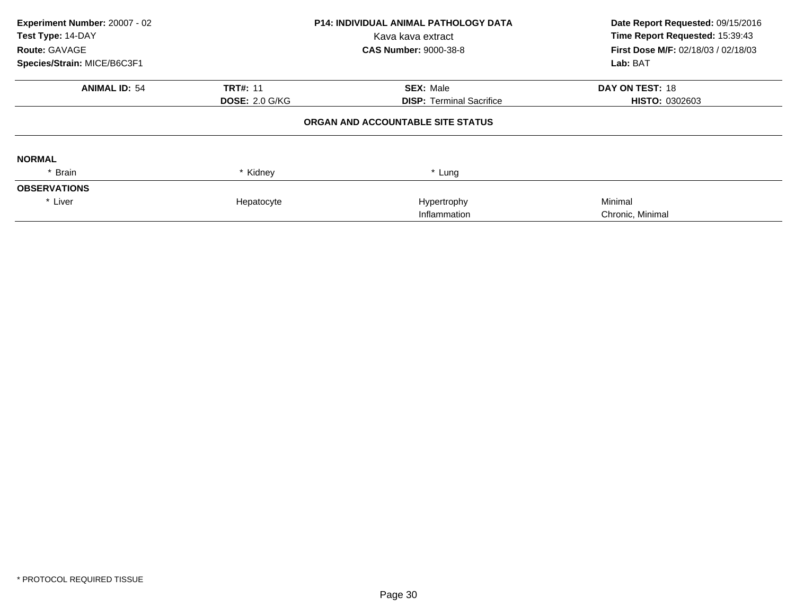| Experiment Number: 20007 - 02<br>Test Type: 14-DAY |                       | <b>P14: INDIVIDUAL ANIMAL PATHOLOGY DATA</b> | Date Report Requested: 09/15/2016   |  |
|----------------------------------------------------|-----------------------|----------------------------------------------|-------------------------------------|--|
|                                                    |                       | Kava kava extract                            | Time Report Requested: 15:39:43     |  |
| Route: GAVAGE                                      |                       | <b>CAS Number: 9000-38-8</b>                 | First Dose M/F: 02/18/03 / 02/18/03 |  |
| Species/Strain: MICE/B6C3F1                        |                       |                                              | Lab: BAT                            |  |
| <b>ANIMAL ID: 54</b>                               | <b>TRT#: 11</b>       | <b>SEX: Male</b>                             | DAY ON TEST: 18                     |  |
|                                                    | <b>DOSE: 2.0 G/KG</b> | <b>DISP:</b> Terminal Sacrifice              | <b>HISTO: 0302603</b>               |  |
|                                                    |                       | ORGAN AND ACCOUNTABLE SITE STATUS            |                                     |  |
| <b>NORMAL</b>                                      |                       |                                              |                                     |  |
| * Brain                                            | * Kidney              | * Lung                                       |                                     |  |
| <b>OBSERVATIONS</b>                                |                       |                                              |                                     |  |
| * Liver                                            | Hepatocyte            | Hypertrophy                                  | Minimal                             |  |
|                                                    |                       | Inflammation                                 | Chronic, Minimal                    |  |
|                                                    |                       |                                              |                                     |  |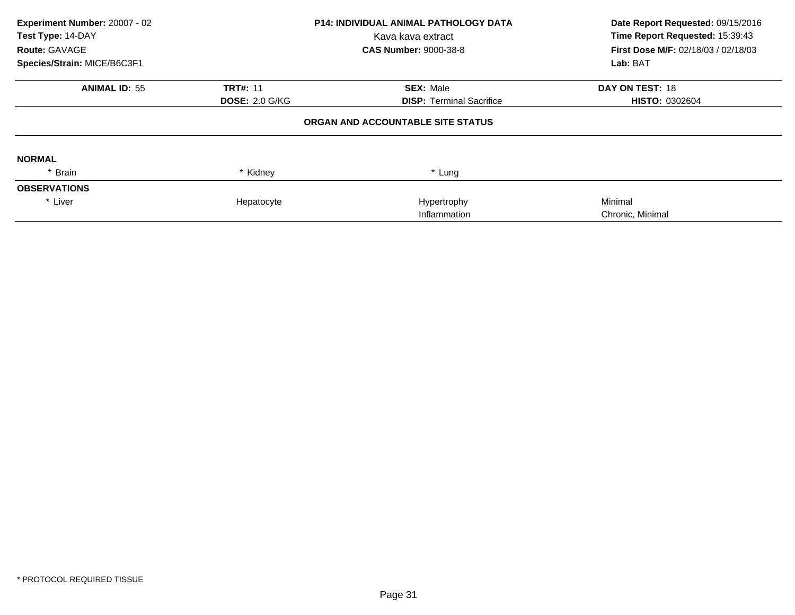| Experiment Number: 20007 - 02<br>Test Type: 14-DAY |                       | <b>P14: INDIVIDUAL ANIMAL PATHOLOGY DATA</b> | Date Report Requested: 09/15/2016          |  |
|----------------------------------------------------|-----------------------|----------------------------------------------|--------------------------------------------|--|
|                                                    |                       | Kava kava extract                            | Time Report Requested: 15:39:43            |  |
| <b>Route: GAVAGE</b>                               |                       | <b>CAS Number: 9000-38-8</b>                 | <b>First Dose M/F: 02/18/03 / 02/18/03</b> |  |
| Species/Strain: MICE/B6C3F1                        |                       |                                              | Lab: BAT                                   |  |
| <b>ANIMAL ID: 55</b>                               | <b>TRT#: 11</b>       | <b>SEX: Male</b>                             | DAY ON TEST: 18                            |  |
|                                                    | <b>DOSE: 2.0 G/KG</b> | <b>DISP: Terminal Sacrifice</b>              | <b>HISTO: 0302604</b>                      |  |
|                                                    |                       | ORGAN AND ACCOUNTABLE SITE STATUS            |                                            |  |
| <b>NORMAL</b>                                      |                       |                                              |                                            |  |
| * Brain                                            | * Kidney              | * Lung                                       |                                            |  |
| <b>OBSERVATIONS</b>                                |                       |                                              |                                            |  |
| * Liver                                            | Hepatocyte            | Hypertrophy                                  | Minimal                                    |  |
|                                                    |                       | Inflammation                                 | Chronic, Minimal                           |  |
|                                                    |                       |                                              |                                            |  |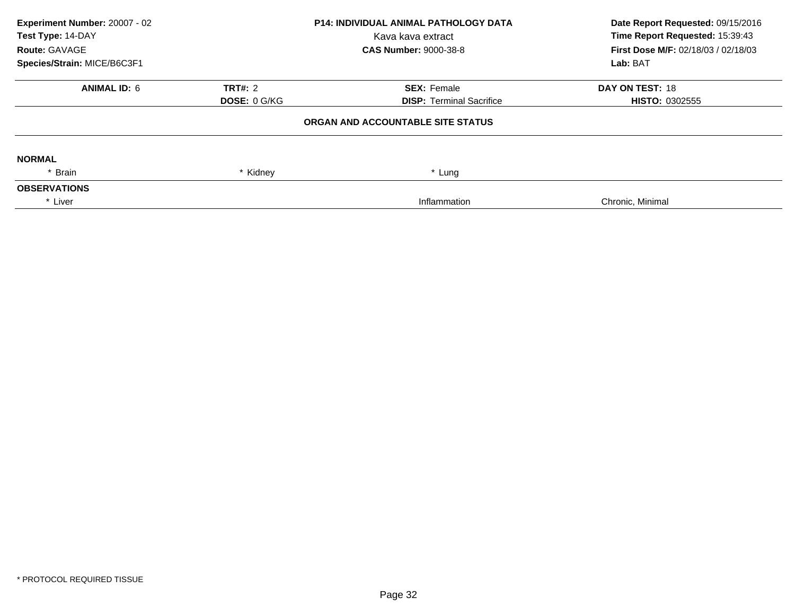| Experiment Number: 20007 - 02<br>Test Type: 14-DAY<br>Route: GAVAGE<br>Species/Strain: MICE/B6C3F1 | <b>P14: INDIVIDUAL ANIMAL PATHOLOGY DATA</b><br>Kava kava extract<br><b>CAS Number: 9000-38-8</b> |                                                       | Date Report Requested: 09/15/2016<br>Time Report Requested: 15:39:43<br>First Dose M/F: 02/18/03 / 02/18/03<br>Lab: BAT |  |
|----------------------------------------------------------------------------------------------------|---------------------------------------------------------------------------------------------------|-------------------------------------------------------|-------------------------------------------------------------------------------------------------------------------------|--|
| <b>ANIMAL ID: 6</b>                                                                                | <b>TRT#: 2</b><br><b>DOSE: 0 G/KG</b>                                                             | <b>SEX: Female</b><br><b>DISP: Terminal Sacrifice</b> | DAY ON TEST: 18<br>HISTO: 0302555                                                                                       |  |
|                                                                                                    |                                                                                                   | ORGAN AND ACCOUNTABLE SITE STATUS                     |                                                                                                                         |  |
| <b>NORMAL</b>                                                                                      |                                                                                                   |                                                       |                                                                                                                         |  |
| * Brain<br><b>OBSERVATIONS</b>                                                                     | * Kidney                                                                                          | * Lung                                                |                                                                                                                         |  |
| * Liver                                                                                            |                                                                                                   | Inflammation                                          | Chronic, Minimal                                                                                                        |  |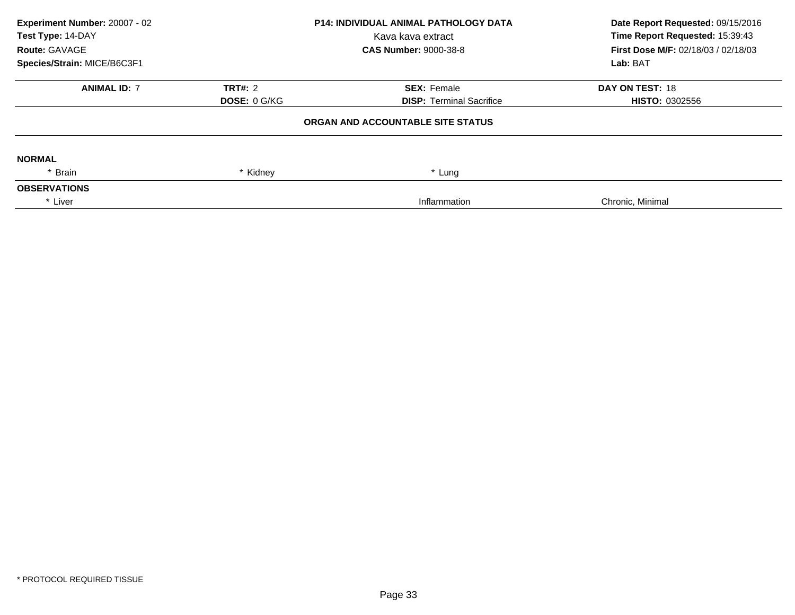| Experiment Number: 20007 - 02<br>Test Type: 14-DAY<br>Route: GAVAGE<br>Species/Strain: MICE/B6C3F1 | <b>P14: INDIVIDUAL ANIMAL PATHOLOGY DATA</b><br>Kava kava extract<br><b>CAS Number: 9000-38-8</b> |                                                       | Date Report Requested: 09/15/2016<br>Time Report Requested: 15:39:43<br>First Dose M/F: 02/18/03 / 02/18/03<br>Lab: BAT |  |
|----------------------------------------------------------------------------------------------------|---------------------------------------------------------------------------------------------------|-------------------------------------------------------|-------------------------------------------------------------------------------------------------------------------------|--|
| <b>ANIMAL ID: 7</b>                                                                                | <b>TRT#: 2</b><br><b>DOSE: 0 G/KG</b>                                                             | <b>SEX: Female</b><br><b>DISP: Terminal Sacrifice</b> | DAY ON TEST: 18<br><b>HISTO: 0302556</b>                                                                                |  |
|                                                                                                    |                                                                                                   | ORGAN AND ACCOUNTABLE SITE STATUS                     |                                                                                                                         |  |
| <b>NORMAL</b>                                                                                      |                                                                                                   |                                                       |                                                                                                                         |  |
| * Brain<br><b>OBSERVATIONS</b>                                                                     | * Kidney                                                                                          | * Lung                                                |                                                                                                                         |  |
| * Liver                                                                                            |                                                                                                   | Inflammation                                          | Chronic, Minimal                                                                                                        |  |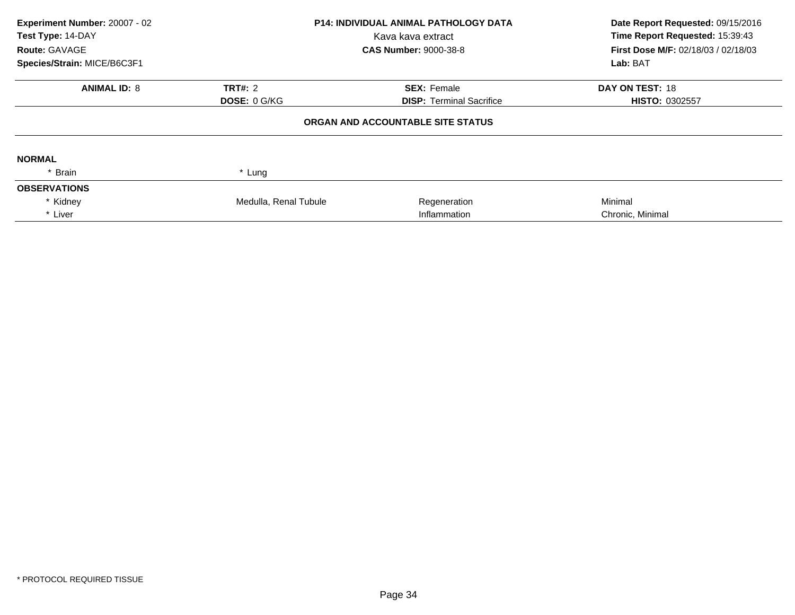| Experiment Number: 20007 - 02<br>Test Type: 14-DAY<br>Route: GAVAGE<br>Species/Strain: MICE/B6C3F1 | <b>P14: INDIVIDUAL ANIMAL PATHOLOGY DATA</b><br>Kava kava extract<br><b>CAS Number: 9000-38-8</b> |                                   | Date Report Requested: 09/15/2016<br>Time Report Requested: 15:39:43<br>First Dose M/F: 02/18/03 / 02/18/03<br>Lab: BAT |
|----------------------------------------------------------------------------------------------------|---------------------------------------------------------------------------------------------------|-----------------------------------|-------------------------------------------------------------------------------------------------------------------------|
| <b>ANIMAL ID: 8</b>                                                                                | <b>TRT#: 2</b>                                                                                    | <b>SEX: Female</b>                | <b>DAY ON TEST: 18</b>                                                                                                  |
|                                                                                                    | <b>DOSE: 0 G/KG</b>                                                                               | <b>DISP: Terminal Sacrifice</b>   | <b>HISTO: 0302557</b>                                                                                                   |
|                                                                                                    |                                                                                                   | ORGAN AND ACCOUNTABLE SITE STATUS |                                                                                                                         |
| <b>NORMAL</b>                                                                                      |                                                                                                   |                                   |                                                                                                                         |
| * Brain                                                                                            | * Lung                                                                                            |                                   |                                                                                                                         |
| <b>OBSERVATIONS</b>                                                                                |                                                                                                   |                                   |                                                                                                                         |
| * Kidney                                                                                           | Medulla, Renal Tubule                                                                             | Regeneration                      | Minimal                                                                                                                 |
| * Liver                                                                                            |                                                                                                   | Inflammation                      | Chronic, Minimal                                                                                                        |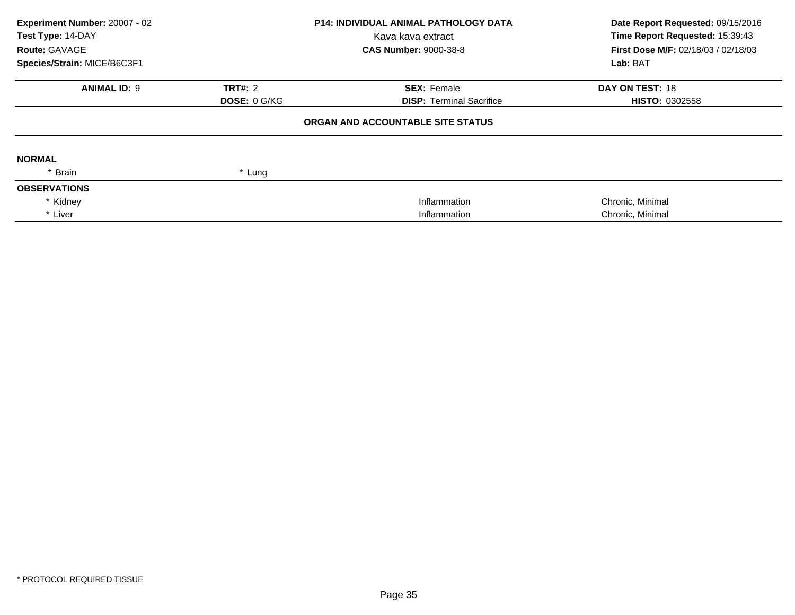| Experiment Number: 20007 - 02<br>Test Type: 14-DAY<br>Route: GAVAGE<br>Species/Strain: MICE/B6C3F1 |                     | <b>P14: INDIVIDUAL ANIMAL PATHOLOGY DATA</b><br>Kava kava extract<br><b>CAS Number: 9000-38-8</b> | Date Report Requested: 09/15/2016<br>Time Report Requested: 15:39:43<br>First Dose M/F: 02/18/03 / 02/18/03<br>Lab: BAT |
|----------------------------------------------------------------------------------------------------|---------------------|---------------------------------------------------------------------------------------------------|-------------------------------------------------------------------------------------------------------------------------|
| <b>ANIMAL ID: 9</b>                                                                                | <b>TRT#: 2</b>      | <b>SEX: Female</b>                                                                                | <b>DAY ON TEST: 18</b>                                                                                                  |
|                                                                                                    | <b>DOSE: 0 G/KG</b> | <b>DISP: Terminal Sacrifice</b>                                                                   | <b>HISTO: 0302558</b>                                                                                                   |
|                                                                                                    |                     | ORGAN AND ACCOUNTABLE SITE STATUS                                                                 |                                                                                                                         |
| <b>NORMAL</b>                                                                                      |                     |                                                                                                   |                                                                                                                         |
| * Brain                                                                                            | * Lung              |                                                                                                   |                                                                                                                         |
| <b>OBSERVATIONS</b>                                                                                |                     |                                                                                                   |                                                                                                                         |
| * Kidney                                                                                           |                     | Inflammation                                                                                      | Chronic, Minimal                                                                                                        |
| * Liver                                                                                            |                     | Inflammation                                                                                      | Chronic, Minimal                                                                                                        |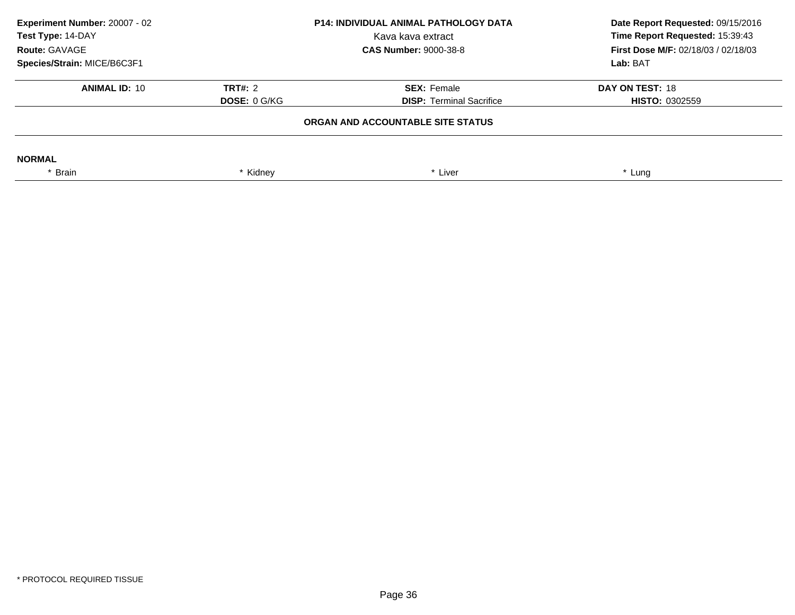| Experiment Number: 20007 - 02<br>Test Type: 14-DAY<br>Route: GAVAGE |                     | <b>P14: INDIVIDUAL ANIMAL PATHOLOGY DATA</b><br>Kava kava extract<br><b>CAS Number: 9000-38-8</b> | Date Report Requested: 09/15/2016<br>Time Report Requested: 15:39:43<br>First Dose M/F: 02/18/03 / 02/18/03 |  |
|---------------------------------------------------------------------|---------------------|---------------------------------------------------------------------------------------------------|-------------------------------------------------------------------------------------------------------------|--|
| Species/Strain: MICE/B6C3F1                                         |                     |                                                                                                   | Lab: BAT                                                                                                    |  |
| <b>ANIMAL ID: 10</b>                                                | <b>TRT#: 2</b>      | <b>SEX: Female</b>                                                                                | DAY ON TEST: 18                                                                                             |  |
|                                                                     | <b>DOSE: 0 G/KG</b> | <b>DISP: Terminal Sacrifice</b>                                                                   | <b>HISTO: 0302559</b>                                                                                       |  |
|                                                                     |                     | ORGAN AND ACCOUNTABLE SITE STATUS                                                                 |                                                                                                             |  |
| <b>NORMAL</b>                                                       |                     |                                                                                                   |                                                                                                             |  |
| * Brain                                                             | Kidney              | Liver                                                                                             | * Lung                                                                                                      |  |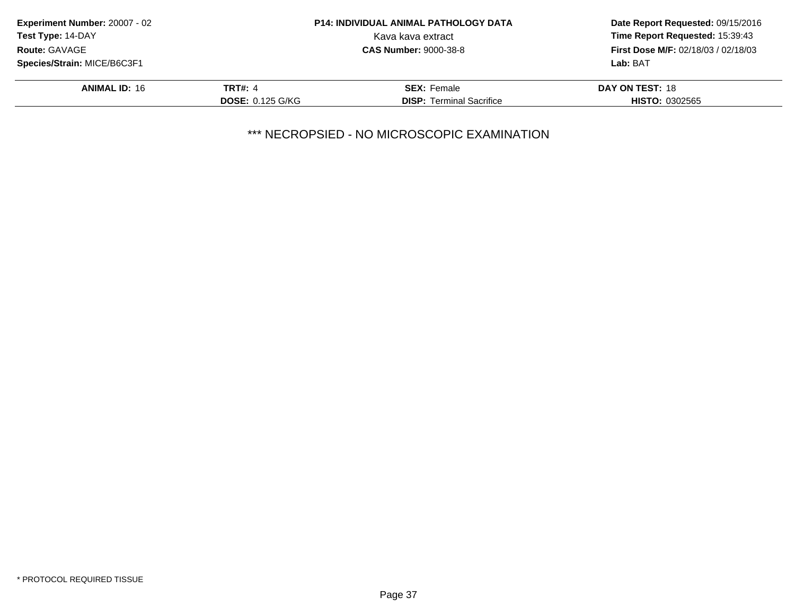| <b>Experiment Number: 20007 - 02</b> |                         | <b>P14: INDIVIDUAL ANIMAL PATHOLOGY DATA</b> | Date Report Requested: 09/15/2016<br>Time Report Requested: 15:39:43 |
|--------------------------------------|-------------------------|----------------------------------------------|----------------------------------------------------------------------|
| <b>Test Type: 14-DAY</b>             |                         | Kava kava extract                            |                                                                      |
| <b>Route: GAVAGE</b>                 |                         | <b>CAS Number: 9000-38-8</b>                 | <b>First Dose M/F: 02/18/03 / 02/18/03</b>                           |
| Species/Strain: MICE/B6C3F1          |                         |                                              | Lab: BAT                                                             |
| <b>ANIMAL ID: 16</b>                 | <b>TRT#: 4</b>          | <b>SEX: Female</b>                           | DAY ON TEST: 18                                                      |
|                                      | <b>DOSE: 0.125 G/KG</b> | <b>DISP:</b> Terminal Sacrifice              | <b>HISTO: 0302565</b>                                                |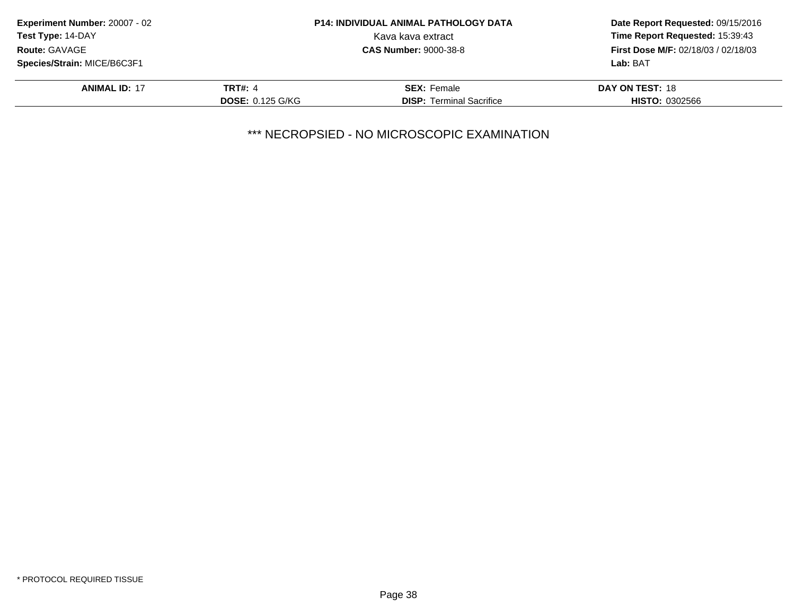| Experiment Number: 20007 - 02 |                         | <b>P14: INDIVIDUAL ANIMAL PATHOLOGY DATA</b> | Date Report Requested: 09/15/2016          |
|-------------------------------|-------------------------|----------------------------------------------|--------------------------------------------|
| <b>Test Type: 14-DAY</b>      |                         | Kava kava extract                            | Time Report Requested: 15:39:43            |
| <b>Route: GAVAGE</b>          |                         | <b>CAS Number: 9000-38-8</b>                 | <b>First Dose M/F: 02/18/03 / 02/18/03</b> |
| Species/Strain: MICE/B6C3F1   |                         |                                              | Lab: BAT                                   |
| <b>ANIMAL ID: 17</b>          | <b>TRT#: 4</b>          | <b>SEX: Female</b>                           | DAY ON TEST: 18                            |
|                               | <b>DOSE: 0.125 G/KG</b> | <b>DISP:</b> Terminal Sacrifice              | <b>HISTO: 0302566</b>                      |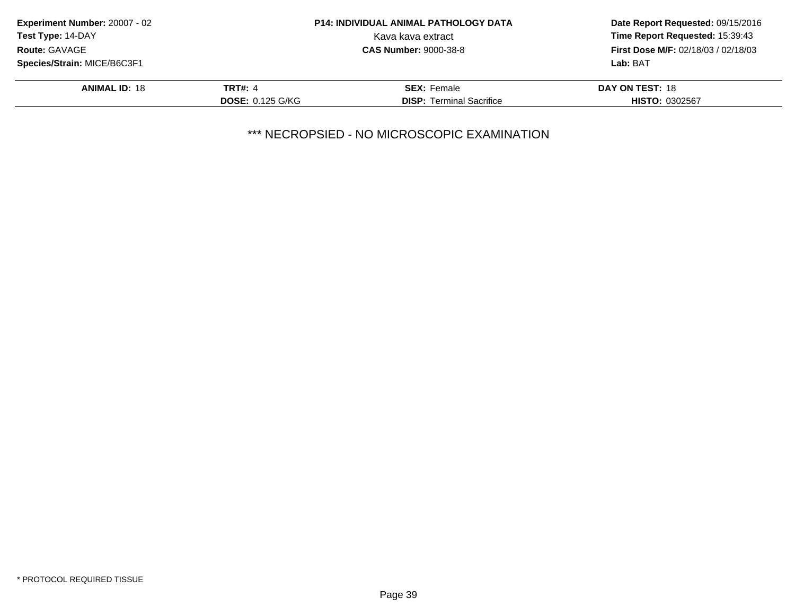| <b>Experiment Number: 20007 - 02</b> | <b>P14: INDIVIDUAL ANIMAL PATHOLOGY DATA</b> |                                 | Date Report Requested: 09/15/2016          |
|--------------------------------------|----------------------------------------------|---------------------------------|--------------------------------------------|
| Test Type: 14-DAY                    |                                              | Kava kava extract               | Time Report Requested: 15:39:43            |
| <b>Route: GAVAGE</b>                 |                                              | <b>CAS Number: 9000-38-8</b>    | <b>First Dose M/F: 02/18/03 / 02/18/03</b> |
| Species/Strain: MICE/B6C3F1          |                                              |                                 | Lab: BAT                                   |
| <b>ANIMAL ID: 18</b>                 | <b>TRT#: 4</b>                               | <b>SEX: Female</b>              | DAY ON TEST: 18                            |
|                                      | <b>DOSE: 0.125 G/KG</b>                      | <b>DISP: Terminal Sacrifice</b> | <b>HISTO: 0302567</b>                      |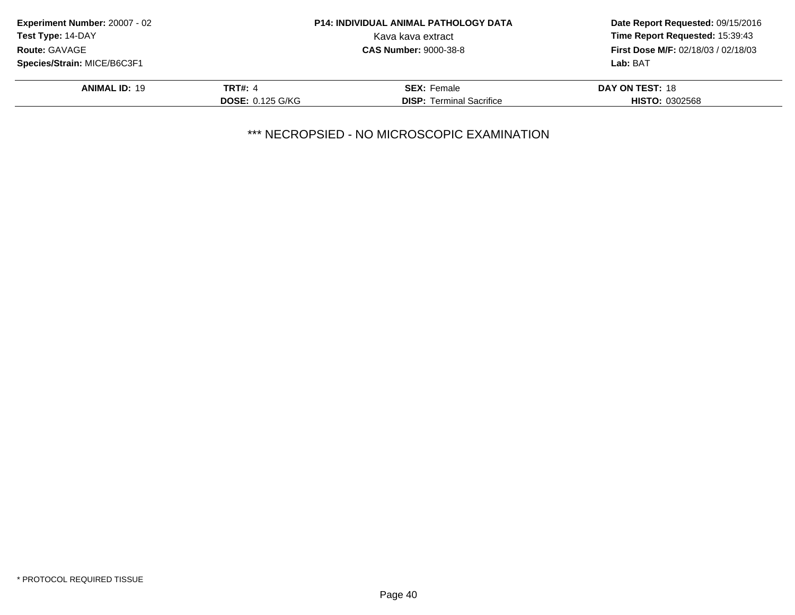| <b>Experiment Number: 20007 - 02</b> | <b>P14: INDIVIDUAL ANIMAL PATHOLOGY DATA</b> |                                 | Date Report Requested: 09/15/2016          |
|--------------------------------------|----------------------------------------------|---------------------------------|--------------------------------------------|
| Test Type: 14-DAY                    |                                              | Kava kava extract               | Time Report Requested: 15:39:43            |
| Route: GAVAGE                        |                                              | <b>CAS Number: 9000-38-8</b>    | <b>First Dose M/F: 02/18/03 / 02/18/03</b> |
| Species/Strain: MICE/B6C3F1          |                                              |                                 | Lab: BAT                                   |
| <b>ANIMAL ID: 19</b>                 | <b>TRT#: 4</b>                               | <b>SEX: Female</b>              | DAY ON TEST: 18                            |
|                                      | <b>DOSE: 0.125 G/KG</b>                      | <b>DISP:</b> Terminal Sacrifice | <b>HISTO: 0302568</b>                      |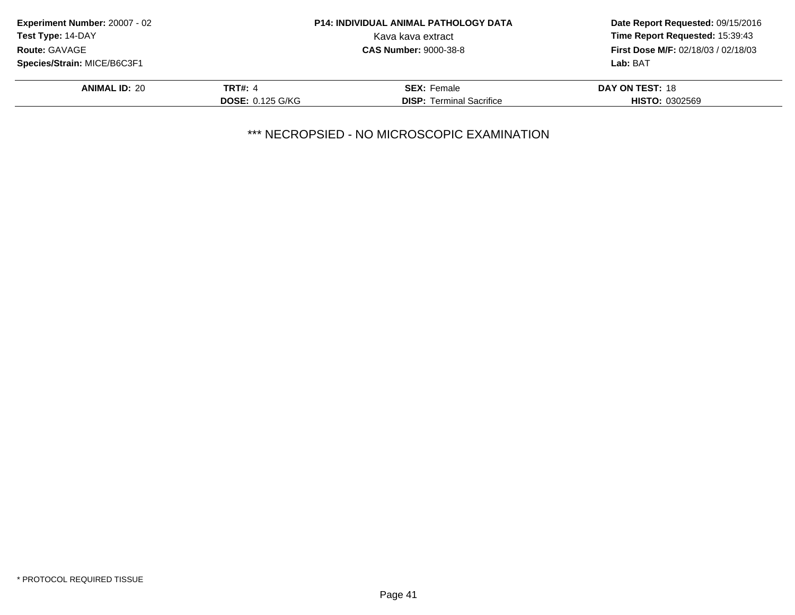| Experiment Number: 20007 - 02 |                         | <b>P14: INDIVIDUAL ANIMAL PATHOLOGY DATA</b> | Date Report Requested: 09/15/2016          |
|-------------------------------|-------------------------|----------------------------------------------|--------------------------------------------|
| <b>Test Type: 14-DAY</b>      |                         | Kava kava extract                            | Time Report Requested: 15:39:43            |
| <b>Route: GAVAGE</b>          |                         | <b>CAS Number: 9000-38-8</b>                 | <b>First Dose M/F: 02/18/03 / 02/18/03</b> |
| Species/Strain: MICE/B6C3F1   |                         |                                              | Lab: BAT                                   |
| <b>ANIMAL ID: 20</b>          | <b>TRT#: 4</b>          | <b>SEX: Female</b>                           | DAY ON TEST: 18                            |
|                               | <b>DOSE: 0.125 G/KG</b> | <b>DISP:</b> Terminal Sacrifice              | <b>HISTO: 0302569</b>                      |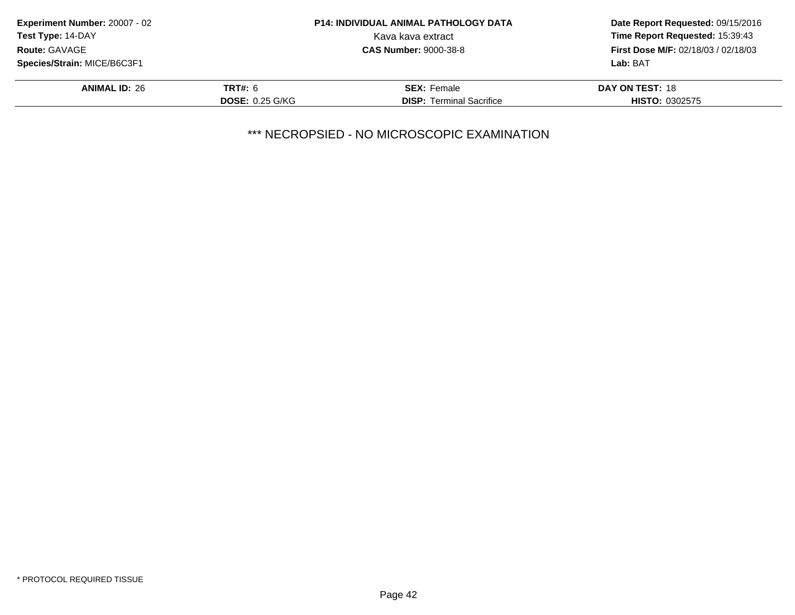| <b>Experiment Number: 20007 - 02</b> |                        | <b>P14: INDIVIDUAL ANIMAL PATHOLOGY DATA</b> | Date Report Requested: 09/15/2016<br>Time Report Requested: 15:39:43 |
|--------------------------------------|------------------------|----------------------------------------------|----------------------------------------------------------------------|
| <b>Test Type: 14-DAY</b>             |                        | Kava kava extract                            |                                                                      |
| <b>Route: GAVAGE</b>                 |                        | <b>CAS Number: 9000-38-8</b>                 | <b>First Dose M/F: 02/18/03 / 02/18/03</b>                           |
| Species/Strain: MICE/B6C3F1          |                        |                                              | Lab: BAT                                                             |
| <b>ANIMAL ID: 26</b>                 | <b>TRT#: 6</b>         | <b>SEX: Female</b>                           | DAY ON TEST: 18                                                      |
|                                      | <b>DOSE: 0.25 G/KG</b> | <b>DISP: Terminal Sacrifice</b>              | <b>HISTO: 0302575</b>                                                |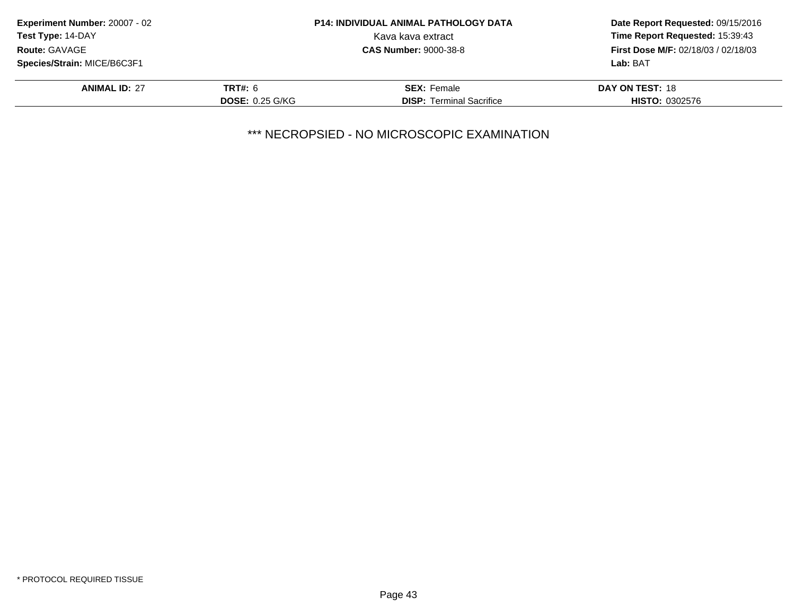| Experiment Number: 20007 - 02 |                        | <b>P14: INDIVIDUAL ANIMAL PATHOLOGY DATA</b> | Date Report Requested: 09/15/2016          |
|-------------------------------|------------------------|----------------------------------------------|--------------------------------------------|
| Test Type: 14-DAY             |                        | Kava kava extract                            | Time Report Requested: 15:39:43            |
| <b>Route: GAVAGE</b>          |                        | <b>CAS Number: 9000-38-8</b>                 | <b>First Dose M/F: 02/18/03 / 02/18/03</b> |
| Species/Strain: MICE/B6C3F1   |                        |                                              | Lab: BAT                                   |
| <b>ANIMAL ID: 27</b>          | <b>TRT#: 6</b>         | <b>SEX: Female</b>                           | DAY ON TEST: 18                            |
|                               | <b>DOSE: 0.25 G/KG</b> | <b>DISP:</b> Terminal Sacrifice              | <b>HISTO: 0302576</b>                      |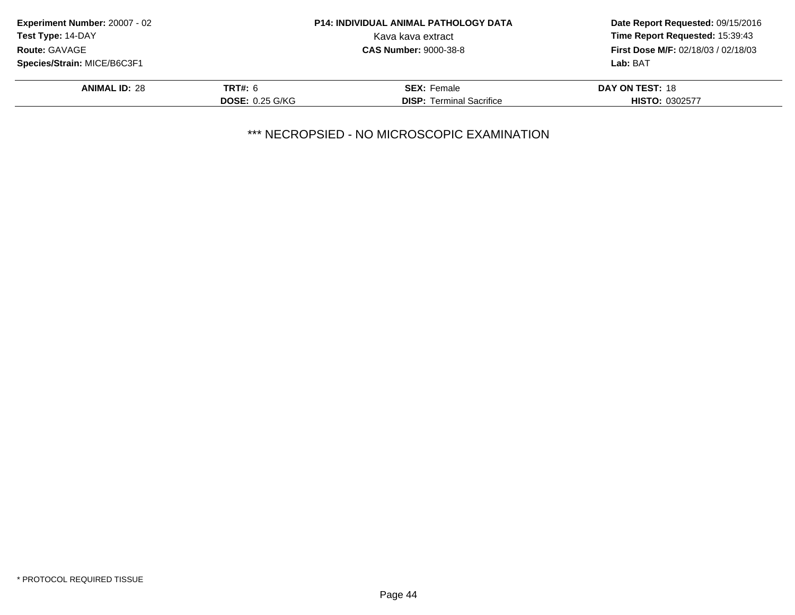| Experiment Number: 20007 - 02 |                        | <b>P14: INDIVIDUAL ANIMAL PATHOLOGY DATA</b> | Date Report Requested: 09/15/2016          |
|-------------------------------|------------------------|----------------------------------------------|--------------------------------------------|
| Test Type: 14-DAY             |                        | Kava kava extract                            | Time Report Requested: 15:39:43            |
| <b>Route: GAVAGE</b>          |                        | <b>CAS Number: 9000-38-8</b>                 | <b>First Dose M/F: 02/18/03 / 02/18/03</b> |
| Species/Strain: MICE/B6C3F1   |                        |                                              | Lab: BAT                                   |
| <b>ANIMAL ID: 28</b>          | <b>TRT#: 6</b>         | <b>SEX: Female</b>                           | <b>DAY ON TEST: 18</b>                     |
|                               | <b>DOSE: 0.25 G/KG</b> | <b>DISP:</b> Terminal Sacrifice              | <b>HISTO: 0302577</b>                      |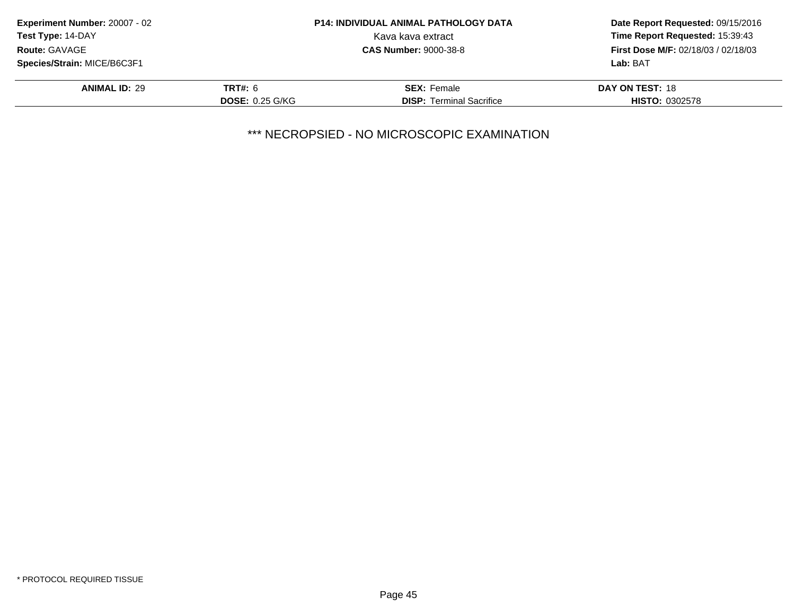| <b>Experiment Number: 20007 - 02</b> |                        | <b>P14: INDIVIDUAL ANIMAL PATHOLOGY DATA</b> | Date Report Requested: 09/15/2016<br>Time Report Requested: 15:39:43 |
|--------------------------------------|------------------------|----------------------------------------------|----------------------------------------------------------------------|
| <b>Test Type: 14-DAY</b>             |                        | Kava kava extract                            |                                                                      |
| <b>Route: GAVAGE</b>                 |                        | <b>CAS Number: 9000-38-8</b>                 | <b>First Dose M/F: 02/18/03 / 02/18/03</b>                           |
| Species/Strain: MICE/B6C3F1          |                        |                                              | Lab: BAT                                                             |
| <b>ANIMAL ID: 29</b>                 | <b>TRT#: 6</b>         | <b>SEX: Female</b>                           | DAY ON TEST: 18                                                      |
|                                      | <b>DOSE: 0.25 G/KG</b> | <b>DISP: Terminal Sacrifice</b>              | <b>HISTO: 0302578</b>                                                |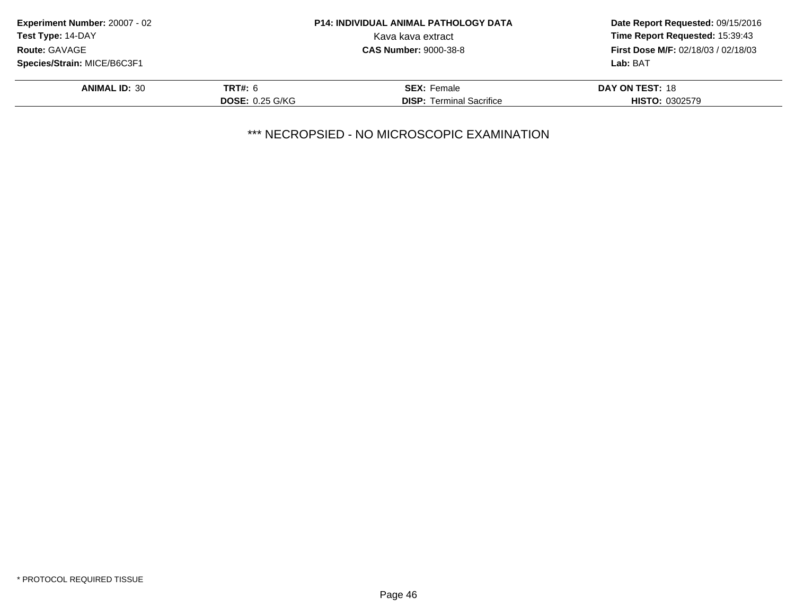| <b>Experiment Number: 20007 - 02</b> | <b>P14: INDIVIDUAL ANIMAL PATHOLOGY DATA</b> |                                 | Date Report Requested: 09/15/2016          |
|--------------------------------------|----------------------------------------------|---------------------------------|--------------------------------------------|
| <b>Test Type: 14-DAY</b>             |                                              | Kava kava extract               | Time Report Requested: 15:39:43            |
| <b>Route: GAVAGE</b>                 |                                              | <b>CAS Number: 9000-38-8</b>    | <b>First Dose M/F: 02/18/03 / 02/18/03</b> |
| Species/Strain: MICE/B6C3F1          |                                              |                                 | Lab: BAT                                   |
| <b>ANIMAL ID: 30</b>                 | <b>TRT#: 6</b>                               | <b>SEX: Female</b>              | DAY ON TEST: 18                            |
|                                      | <b>DOSE: 0.25 G/KG</b>                       | <b>DISP:</b> Terminal Sacrifice | <b>HISTO: 0302579</b>                      |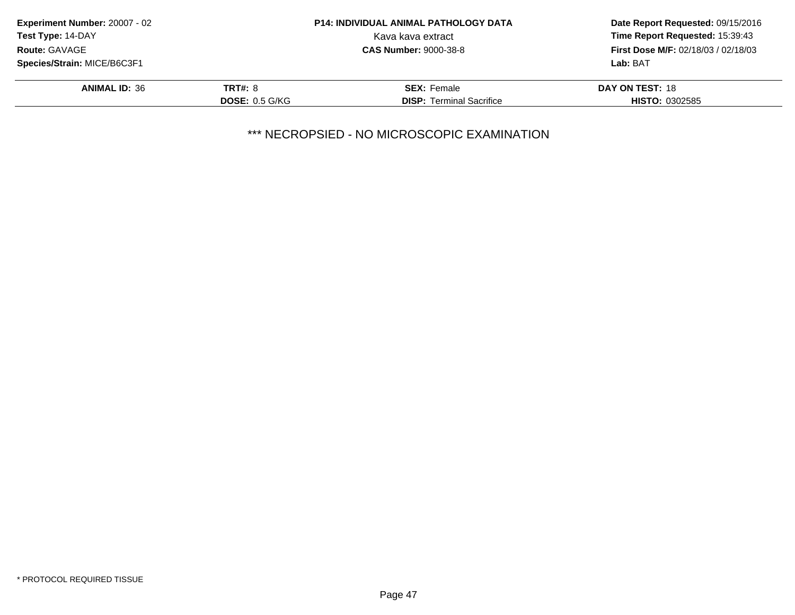| <b>Experiment Number: 20007 - 02</b> | <b>P14: INDIVIDUAL ANIMAL PATHOLOGY DATA</b> |                                 | Date Report Requested: 09/15/2016          |
|--------------------------------------|----------------------------------------------|---------------------------------|--------------------------------------------|
| <b>Test Type: 14-DAY</b>             |                                              | Kava kava extract               | Time Report Requested: 15:39:43            |
| <b>Route: GAVAGE</b>                 |                                              | <b>CAS Number: 9000-38-8</b>    | <b>First Dose M/F: 02/18/03 / 02/18/03</b> |
| Species/Strain: MICE/B6C3F1          |                                              |                                 | Lab: BAT                                   |
| <b>ANIMAL ID: 36</b>                 | <b>TRT#: 8</b>                               | <b>SEX: Female</b>              | DAY ON TEST: 18                            |
|                                      | DOSE: 0.5 G/KG                               | <b>DISP:</b> Terminal Sacrifice | <b>HISTO: 0302585</b>                      |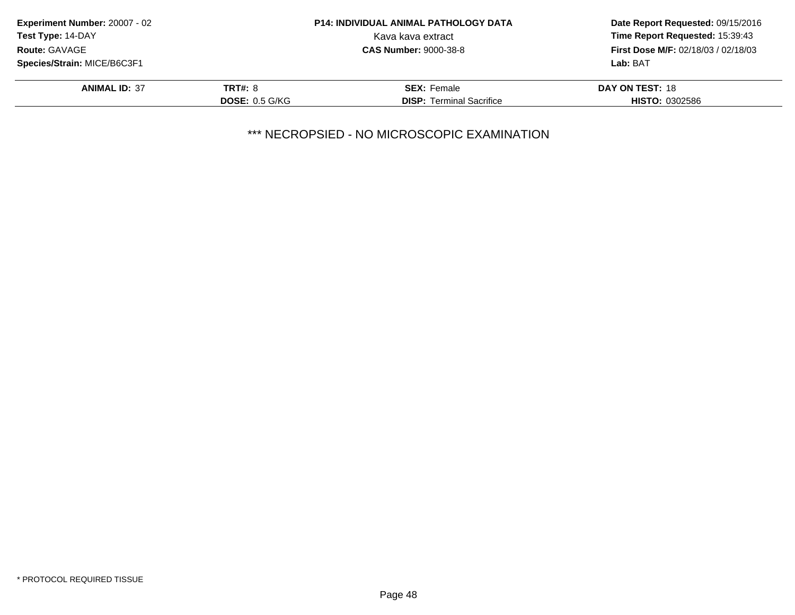| <b>Experiment Number: 20007 - 02</b> |                       | <b>P14: INDIVIDUAL ANIMAL PATHOLOGY DATA</b> | Date Report Requested: 09/15/2016          |  |
|--------------------------------------|-----------------------|----------------------------------------------|--------------------------------------------|--|
| <b>Test Type: 14-DAY</b>             |                       | Kava kava extract                            | Time Report Requested: 15:39:43            |  |
| <b>Route: GAVAGE</b>                 |                       | <b>CAS Number: 9000-38-8</b>                 | <b>First Dose M/F: 02/18/03 / 02/18/03</b> |  |
| Species/Strain: MICE/B6C3F1          |                       |                                              | Lab: BAT                                   |  |
| <b>ANIMAL ID: 37</b>                 | <b>TRT#: 8</b>        | <b>SEX: Female</b>                           | DAY ON TEST: 18                            |  |
|                                      | <b>DOSE: 0.5 G/KG</b> | <b>DISP:</b> Terminal Sacrifice              | <b>HISTO: 0302586</b>                      |  |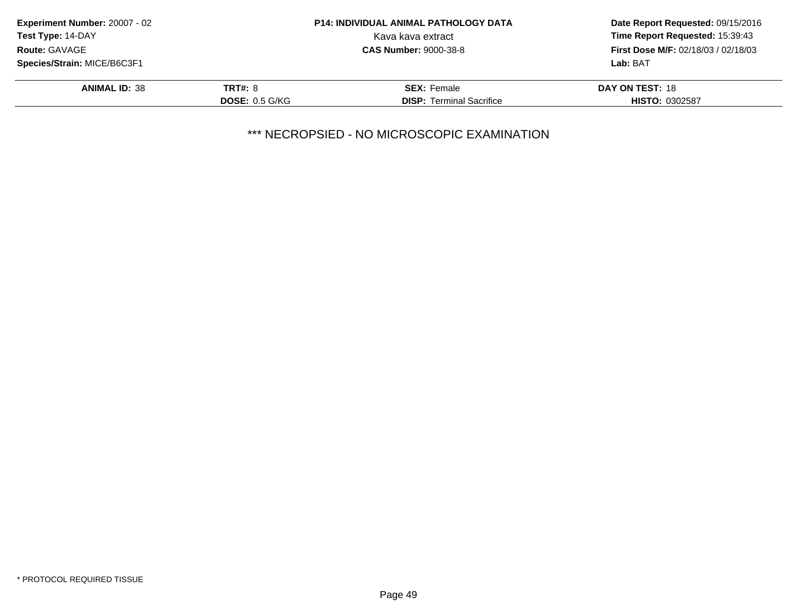| <b>P14: INDIVIDUAL ANIMAL PATHOLOGY DATA</b> | Date Report Requested: 09/15/2016          |
|----------------------------------------------|--------------------------------------------|
| Kava kava extract                            | Time Report Requested: 15:39:43            |
| <b>CAS Number: 9000-38-8</b>                 | <b>First Dose M/F: 02/18/03 / 02/18/03</b> |
|                                              | Lab: BAT                                   |
| <b>SEX: Female</b>                           | DAY ON TEST: 18                            |
| <b>DISP:</b> Terminal Sacrifice              | <b>HISTO: 0302587</b>                      |
|                                              | <b>TRT#: 8</b><br><b>DOSE: 0.5 G/KG</b>    |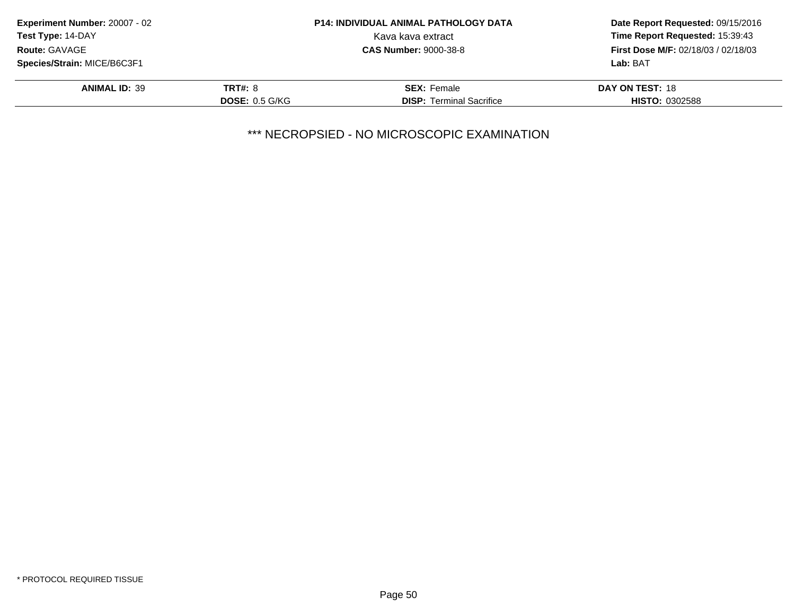| <b>Experiment Number: 20007 - 02</b>      |                       | <b>P14: INDIVIDUAL ANIMAL PATHOLOGY DATA</b> | Date Report Requested: 09/15/2016<br>Time Report Requested: 15:39:43<br><b>First Dose M/F: 02/18/03 / 02/18/03</b> |
|-------------------------------------------|-----------------------|----------------------------------------------|--------------------------------------------------------------------------------------------------------------------|
| Test Type: 14-DAY<br><b>Route: GAVAGE</b> |                       | Kava kava extract                            |                                                                                                                    |
|                                           |                       | <b>CAS Number: 9000-38-8</b>                 |                                                                                                                    |
| Species/Strain: MICE/B6C3F1               |                       |                                              | Lab: BAT                                                                                                           |
| <b>ANIMAL ID: 39</b>                      | <b>TRT#: 8</b>        | <b>SEX: Female</b>                           | DAY ON TEST: 18                                                                                                    |
|                                           | <b>DOSE: 0.5 G/KG</b> | <b>DISP:</b> Terminal Sacrifice              | <b>HISTO: 0302588</b>                                                                                              |
|                                           |                       |                                              |                                                                                                                    |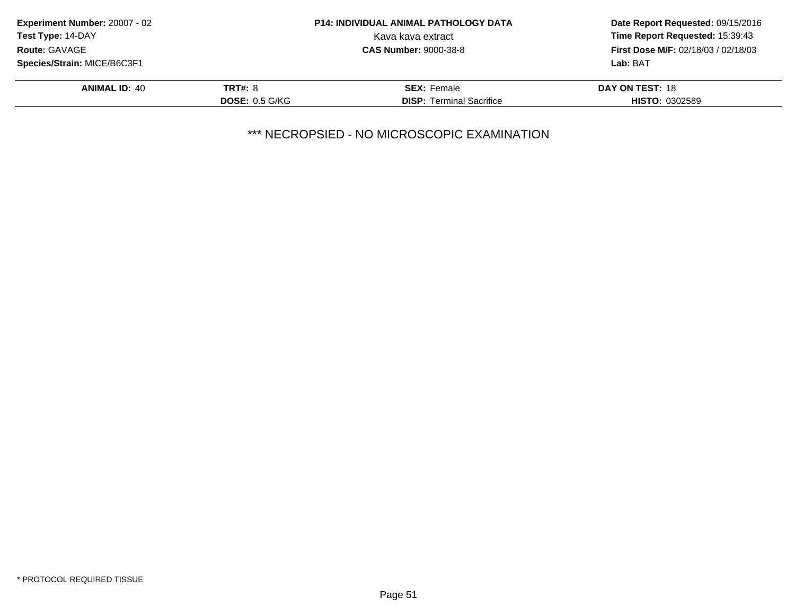| <b>Experiment Number: 20007 - 02</b>             |                       | <b>P14: INDIVIDUAL ANIMAL PATHOLOGY DATA</b> | Date Report Requested: 09/15/2016<br>Time Report Requested: 15:39:43<br><b>First Dose M/F: 02/18/03 / 02/18/03</b> |
|--------------------------------------------------|-----------------------|----------------------------------------------|--------------------------------------------------------------------------------------------------------------------|
| <b>Test Type: 14-DAY</b><br><b>Route: GAVAGE</b> |                       | Kava kava extract                            |                                                                                                                    |
|                                                  |                       | <b>CAS Number: 9000-38-8</b>                 |                                                                                                                    |
| Species/Strain: MICE/B6C3F1                      |                       |                                              | Lab: BAT                                                                                                           |
| <b>ANIMAL ID: 40</b>                             | <b>TRT#: 8</b>        | <b>SEX: Female</b>                           | DAY ON TEST: 18                                                                                                    |
|                                                  | <b>DOSE: 0.5 G/KG</b> | <b>DISP: Terminal Sacrifice</b>              | <b>HISTO: 0302589</b>                                                                                              |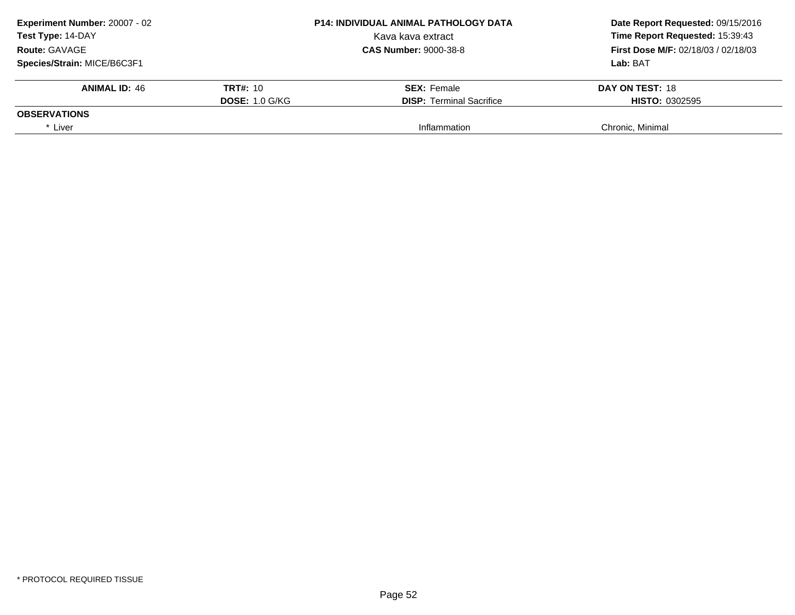| Experiment Number: 20007 - 02<br>Test Type: 14-DAY<br><b>Route: GAVAGE</b> |                       | <b>P14: INDIVIDUAL ANIMAL PATHOLOGY DATA</b> | Date Report Requested: 09/15/2016          |  |
|----------------------------------------------------------------------------|-----------------------|----------------------------------------------|--------------------------------------------|--|
|                                                                            |                       | Kava kava extract                            | Time Report Requested: 15:39:43            |  |
|                                                                            |                       | <b>CAS Number: 9000-38-8</b>                 | <b>First Dose M/F: 02/18/03 / 02/18/03</b> |  |
| Species/Strain: MICE/B6C3F1                                                |                       |                                              | Lab: BAT                                   |  |
| <b>ANIMAL ID: 46</b>                                                       | <b>TRT#: 10</b>       | <b>SEX:</b> Female                           | DAY ON TEST: 18                            |  |
|                                                                            | <b>DOSE: 1.0 G/KG</b> | <b>DISP:</b> Terminal Sacrifice              | <b>HISTO: 0302595</b>                      |  |
| <b>OBSERVATIONS</b>                                                        |                       |                                              |                                            |  |
| * Liver                                                                    |                       | Inflammation                                 | Chronic, Minimal                           |  |
|                                                                            |                       |                                              |                                            |  |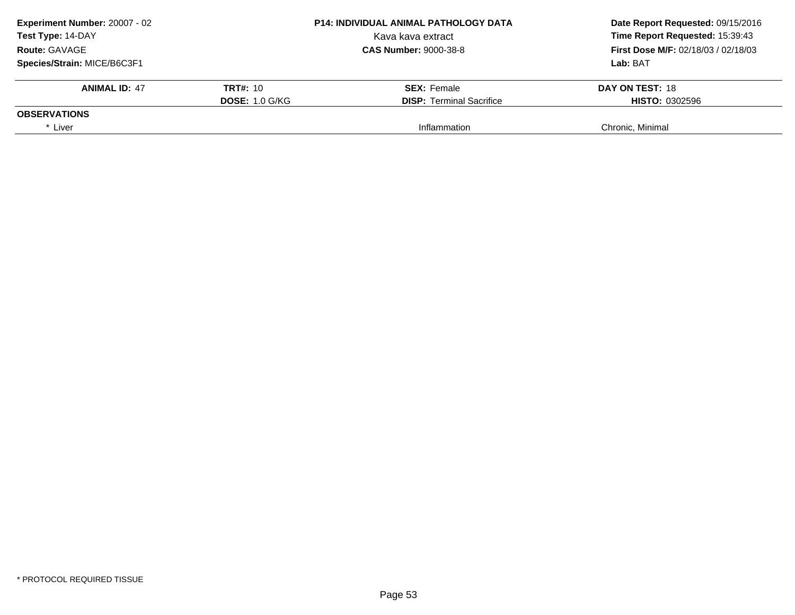| <b>Experiment Number: 20007 - 02</b><br>Test Type: 14-DAY<br><b>Route: GAVAGE</b> |                       | <b>P14: INDIVIDUAL ANIMAL PATHOLOGY DATA</b> | Date Report Requested: 09/15/2016                                             |  |
|-----------------------------------------------------------------------------------|-----------------------|----------------------------------------------|-------------------------------------------------------------------------------|--|
|                                                                                   |                       | Kava kava extract                            | Time Report Requested: 15:39:43<br><b>First Dose M/F: 02/18/03 / 02/18/03</b> |  |
|                                                                                   |                       | <b>CAS Number: 9000-38-8</b>                 |                                                                               |  |
| Species/Strain: MICE/B6C3F1                                                       |                       |                                              | Lab: BAT                                                                      |  |
| <b>ANIMAL ID: 47</b>                                                              | TRT#: 10              | <b>SEX: Female</b>                           | DAY ON TEST: 18                                                               |  |
|                                                                                   | <b>DOSE: 1.0 G/KG</b> | <b>DISP:</b> Terminal Sacrifice              | <b>HISTO: 0302596</b>                                                         |  |
| <b>OBSERVATIONS</b>                                                               |                       |                                              |                                                                               |  |
| * Liver                                                                           |                       | Inflammation                                 | Chronic, Minimal                                                              |  |
|                                                                                   |                       |                                              |                                                                               |  |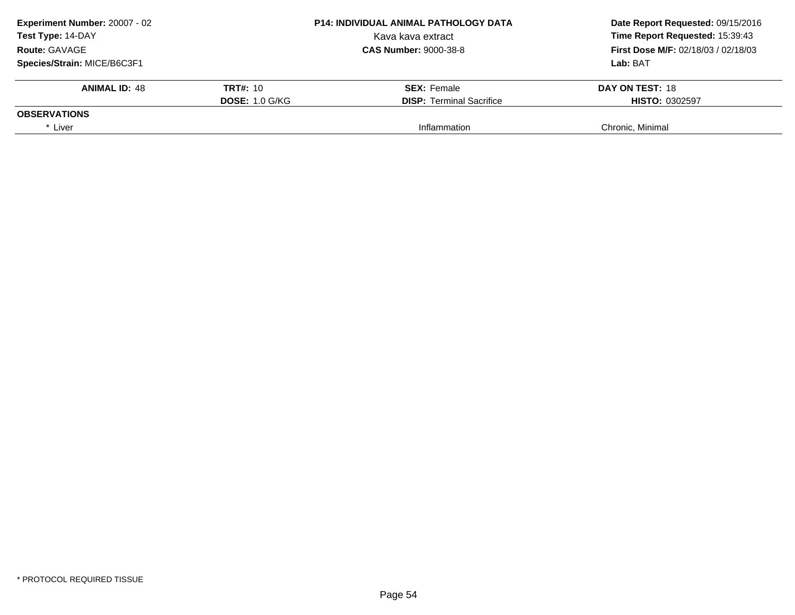| Experiment Number: 20007 - 02<br>Test Type: 14-DAY<br><b>Route: GAVAGE</b> |                       | <b>P14: INDIVIDUAL ANIMAL PATHOLOGY DATA</b> | Date Report Requested: 09/15/2016          |  |
|----------------------------------------------------------------------------|-----------------------|----------------------------------------------|--------------------------------------------|--|
|                                                                            |                       | Kava kava extract                            | Time Report Requested: 15:39:43            |  |
|                                                                            |                       | <b>CAS Number: 9000-38-8</b>                 | <b>First Dose M/F: 02/18/03 / 02/18/03</b> |  |
| Species/Strain: MICE/B6C3F1                                                |                       |                                              | Lab: BAT                                   |  |
| <b>ANIMAL ID: 48</b>                                                       | <b>TRT#: 10</b>       | <b>SEX:</b> Female                           | DAY ON TEST: 18                            |  |
|                                                                            | <b>DOSE: 1.0 G/KG</b> | <b>DISP:</b> Terminal Sacrifice              | <b>HISTO: 0302597</b>                      |  |
| <b>OBSERVATIONS</b>                                                        |                       |                                              |                                            |  |
| * Liver                                                                    |                       | Inflammation                                 | Chronic, Minimal                           |  |
|                                                                            |                       |                                              |                                            |  |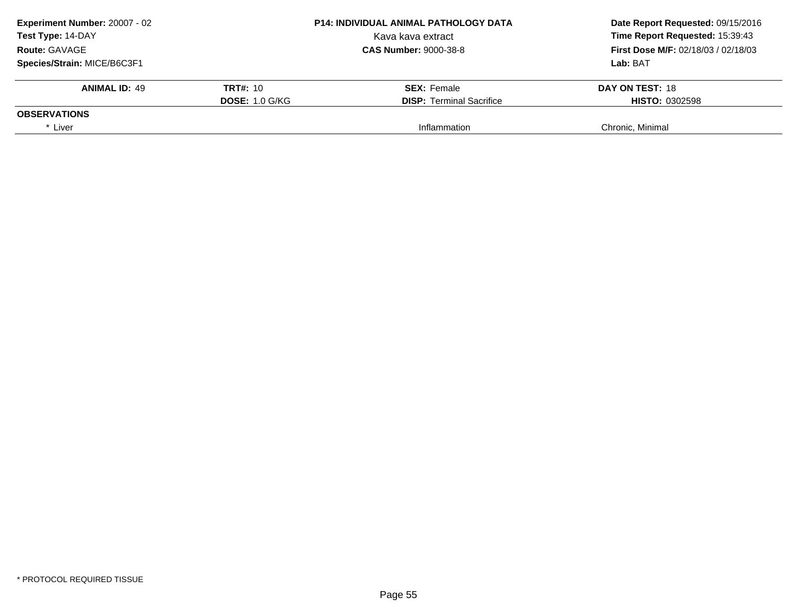| <b>P14: INDIVIDUAL ANIMAL PATHOLOGY DATA</b> | Date Report Requested: 09/15/2016                                             |  |
|----------------------------------------------|-------------------------------------------------------------------------------|--|
| Kava kava extract                            | Time Report Requested: 15:39:43<br><b>First Dose M/F: 02/18/03 / 02/18/03</b> |  |
| <b>CAS Number: 9000-38-8</b>                 |                                                                               |  |
|                                              | Lab: BAT                                                                      |  |
| <b>SEX:</b> Female                           | DAY ON TEST: 18                                                               |  |
| <b>DISP:</b> Terminal Sacrifice              | <b>HISTO: 0302598</b>                                                         |  |
|                                              |                                                                               |  |
|                                              | Chronic, Minimal                                                              |  |
|                                              | <b>DOSE: 1.0 G/KG</b><br>Inflammation                                         |  |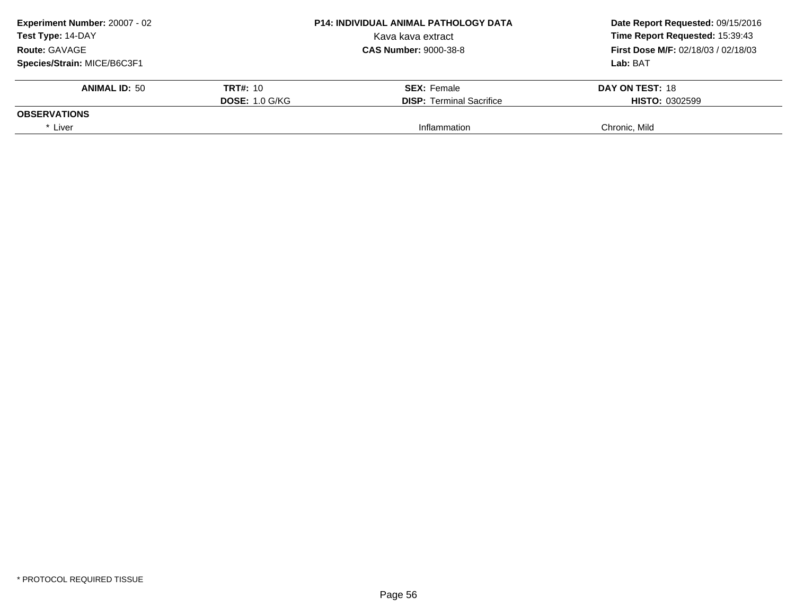| <b>P14: INDIVIDUAL ANIMAL PATHOLOGY DATA</b> | Date Report Requested: 09/15/2016          |  |
|----------------------------------------------|--------------------------------------------|--|
| Kava kava extract                            | Time Report Requested: 15:39:43            |  |
| <b>CAS Number: 9000-38-8</b>                 | <b>First Dose M/F: 02/18/03 / 02/18/03</b> |  |
|                                              | Lab: BAT                                   |  |
| <b>SEX:</b> Female                           | DAY ON TEST: 18                            |  |
| <b>DISP:</b> Terminal Sacrifice              | <b>HISTO: 0302599</b>                      |  |
|                                              |                                            |  |
| Inflammation                                 | Chronic. Mild                              |  |
|                                              | <b>TRT#: 10</b><br><b>DOSE: 1.0 G/KG</b>   |  |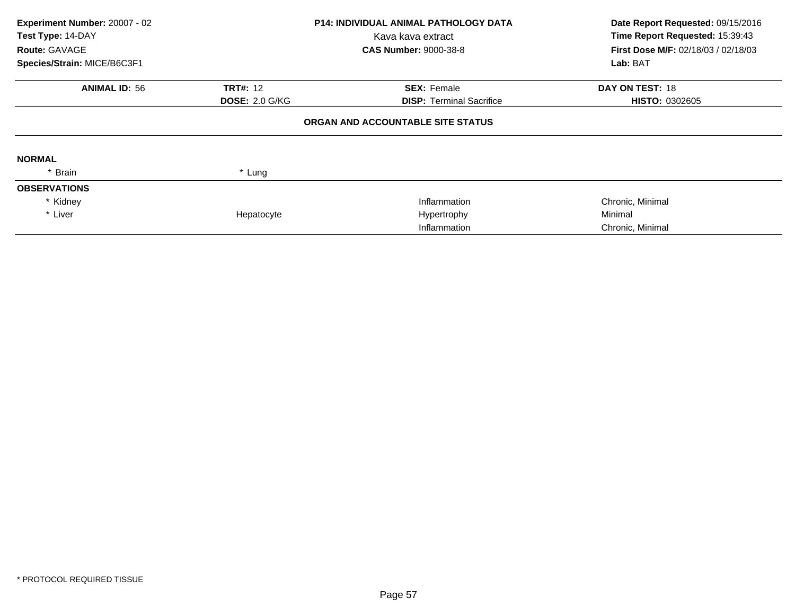| Experiment Number: 20007 - 02<br>Test Type: 14-DAY<br>Route: GAVAGE |                       | <b>P14: INDIVIDUAL ANIMAL PATHOLOGY DATA</b><br>Kava kava extract<br><b>CAS Number: 9000-38-8</b> | Date Report Requested: 09/15/2016<br>Time Report Requested: 15:39:43<br>First Dose M/F: 02/18/03 / 02/18/03 |  |
|---------------------------------------------------------------------|-----------------------|---------------------------------------------------------------------------------------------------|-------------------------------------------------------------------------------------------------------------|--|
| Species/Strain: MICE/B6C3F1                                         |                       |                                                                                                   | Lab: BAT                                                                                                    |  |
| <b>ANIMAL ID: 56</b>                                                | <b>TRT#: 12</b>       | <b>SEX: Female</b>                                                                                | DAY ON TEST: 18                                                                                             |  |
|                                                                     | <b>DOSE: 2.0 G/KG</b> | <b>DISP: Terminal Sacrifice</b>                                                                   | <b>HISTO: 0302605</b>                                                                                       |  |
|                                                                     |                       | ORGAN AND ACCOUNTABLE SITE STATUS                                                                 |                                                                                                             |  |
| <b>NORMAL</b>                                                       |                       |                                                                                                   |                                                                                                             |  |
| * Brain                                                             | * Lung                |                                                                                                   |                                                                                                             |  |
| <b>OBSERVATIONS</b>                                                 |                       |                                                                                                   |                                                                                                             |  |
| * Kidney                                                            |                       | Inflammation                                                                                      | Chronic, Minimal                                                                                            |  |
| * Liver                                                             | Hepatocyte            | Hypertrophy                                                                                       | Minimal                                                                                                     |  |
|                                                                     |                       | Inflammation                                                                                      | Chronic, Minimal                                                                                            |  |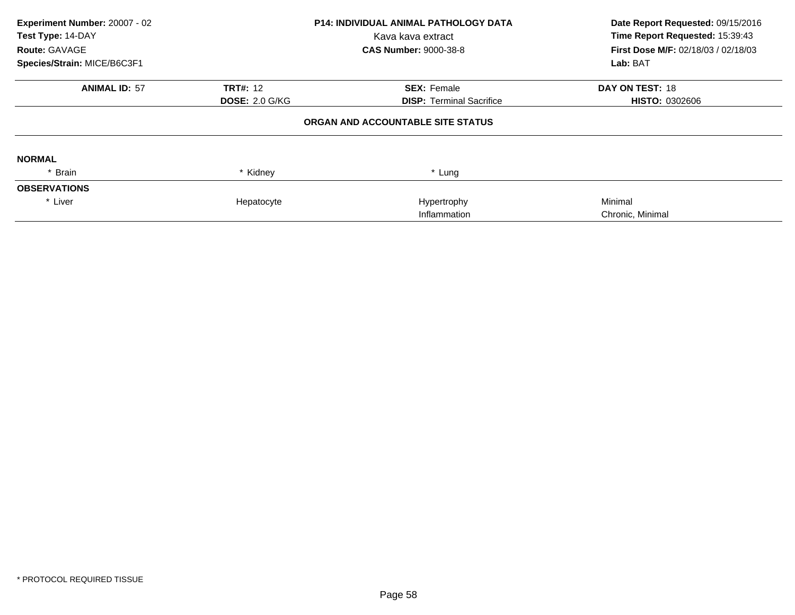| Experiment Number: 20007 - 02 |                       | <b>P14: INDIVIDUAL ANIMAL PATHOLOGY DATA</b> | Date Report Requested: 09/15/2016          |  |
|-------------------------------|-----------------------|----------------------------------------------|--------------------------------------------|--|
| Test Type: 14-DAY             |                       | Kava kava extract                            | Time Report Requested: 15:39:43            |  |
| <b>Route: GAVAGE</b>          |                       | <b>CAS Number: 9000-38-8</b>                 | <b>First Dose M/F: 02/18/03 / 02/18/03</b> |  |
| Species/Strain: MICE/B6C3F1   |                       |                                              | Lab: BAT                                   |  |
| <b>ANIMAL ID: 57</b>          | <b>TRT#: 12</b>       | <b>SEX: Female</b>                           | DAY ON TEST: 18                            |  |
|                               | <b>DOSE: 2.0 G/KG</b> | <b>DISP:</b> Terminal Sacrifice              | <b>HISTO: 0302606</b>                      |  |
|                               |                       | ORGAN AND ACCOUNTABLE SITE STATUS            |                                            |  |
| <b>NORMAL</b>                 |                       |                                              |                                            |  |
| * Brain                       | * Kidney              | * Lung                                       |                                            |  |
| <b>OBSERVATIONS</b>           |                       |                                              |                                            |  |
| * Liver                       | Hepatocyte            | Hypertrophy                                  | Minimal                                    |  |
|                               |                       | Inflammation                                 | Chronic, Minimal                           |  |
|                               |                       |                                              |                                            |  |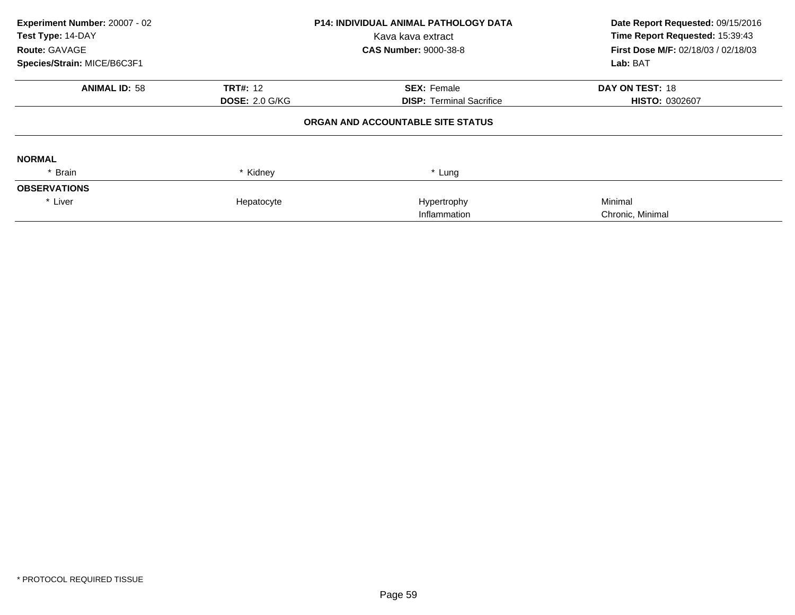| Date Report Requested: 09/15/2016<br>Time Report Requested: 15:39:43 |                                            |
|----------------------------------------------------------------------|--------------------------------------------|
|                                                                      | <b>First Dose M/F: 02/18/03 / 02/18/03</b> |
| Lab: BAT                                                             |                                            |
|                                                                      |                                            |
| <b>HISTO: 0302607</b>                                                |                                            |
|                                                                      |                                            |
|                                                                      |                                            |
|                                                                      |                                            |
|                                                                      |                                            |
|                                                                      |                                            |
|                                                                      |                                            |
|                                                                      |                                            |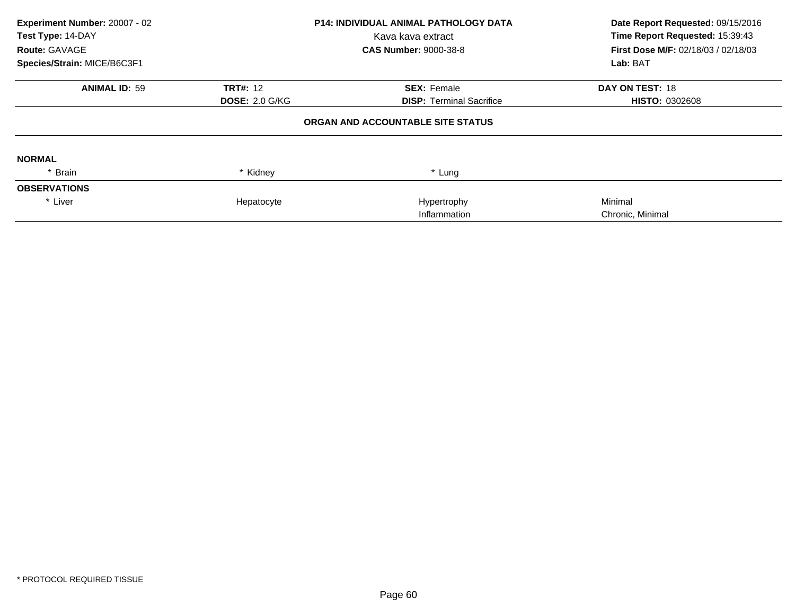| Experiment Number: 20007 - 02 |                       | <b>P14: INDIVIDUAL ANIMAL PATHOLOGY DATA</b> | Date Report Requested: 09/15/2016          |  |
|-------------------------------|-----------------------|----------------------------------------------|--------------------------------------------|--|
| Test Type: 14-DAY             |                       | Kava kava extract                            | Time Report Requested: 15:39:43            |  |
| <b>Route: GAVAGE</b>          |                       | <b>CAS Number: 9000-38-8</b>                 | <b>First Dose M/F: 02/18/03 / 02/18/03</b> |  |
| Species/Strain: MICE/B6C3F1   |                       |                                              | Lab: BAT                                   |  |
| <b>ANIMAL ID: 59</b>          | <b>TRT#: 12</b>       | <b>SEX: Female</b>                           | DAY ON TEST: 18                            |  |
|                               | <b>DOSE: 2.0 G/KG</b> | <b>DISP: Terminal Sacrifice</b>              | <b>HISTO: 0302608</b>                      |  |
|                               |                       | ORGAN AND ACCOUNTABLE SITE STATUS            |                                            |  |
| <b>NORMAL</b>                 |                       |                                              |                                            |  |
| * Brain                       | * Kidney              | * Lung                                       |                                            |  |
| <b>OBSERVATIONS</b>           |                       |                                              |                                            |  |
| * Liver                       | Hepatocyte            | Hypertrophy                                  | Minimal                                    |  |
|                               |                       | Inflammation                                 | Chronic, Minimal                           |  |
|                               |                       |                                              |                                            |  |